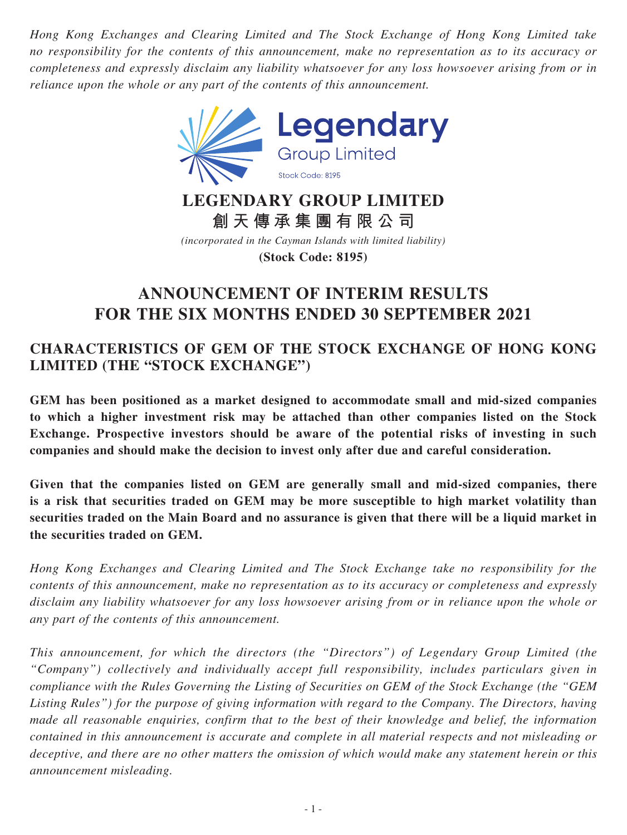*Hong Kong Exchanges and Clearing Limited and The Stock Exchange of Hong Kong Limited take no responsibility for the contents of this announcement, make no representation as to its accuracy or completeness and expressly disclaim any liability whatsoever for any loss howsoever arising from or in reliance upon the whole or any part of the contents of this announcement.*



# **LEGENDARY GROUP LIMITED 創天傳承集團有限公司**

*(incorporated in the Cayman Islands with limited liability)* **(Stock Code: 8195)**

# **ANNOUNCEMENT OF INTERIM RESULTS FOR THE SIX MONTHS ENDED 30 SEPTEMBER 2021**

## **CHARACTERISTICS OF GEM OF THE STOCK EXCHANGE OF HONG KONG LIMITED (THE "STOCK EXCHANGE")**

**GEM has been positioned as a market designed to accommodate small and mid-sized companies to which a higher investment risk may be attached than other companies listed on the Stock Exchange. Prospective investors should be aware of the potential risks of investing in such companies and should make the decision to invest only after due and careful consideration.**

**Given that the companies listed on GEM are generally small and mid-sized companies, there is a risk that securities traded on GEM may be more susceptible to high market volatility than securities traded on the Main Board and no assurance is given that there will be a liquid market in the securities traded on GEM.**

*Hong Kong Exchanges and Clearing Limited and The Stock Exchange take no responsibility for the contents of this announcement, make no representation as to its accuracy or completeness and expressly disclaim any liability whatsoever for any loss howsoever arising from or in reliance upon the whole or any part of the contents of this announcement.*

*This announcement, for which the directors (the "Directors") of Legendary Group Limited (the "Company") collectively and individually accept full responsibility, includes particulars given in compliance with the Rules Governing the Listing of Securities on GEM of the Stock Exchange (the "GEM Listing Rules") for the purpose of giving information with regard to the Company. The Directors, having made all reasonable enquiries, confirm that to the best of their knowledge and belief, the information contained in this announcement is accurate and complete in all material respects and not misleading or deceptive, and there are no other matters the omission of which would make any statement herein or this announcement misleading.*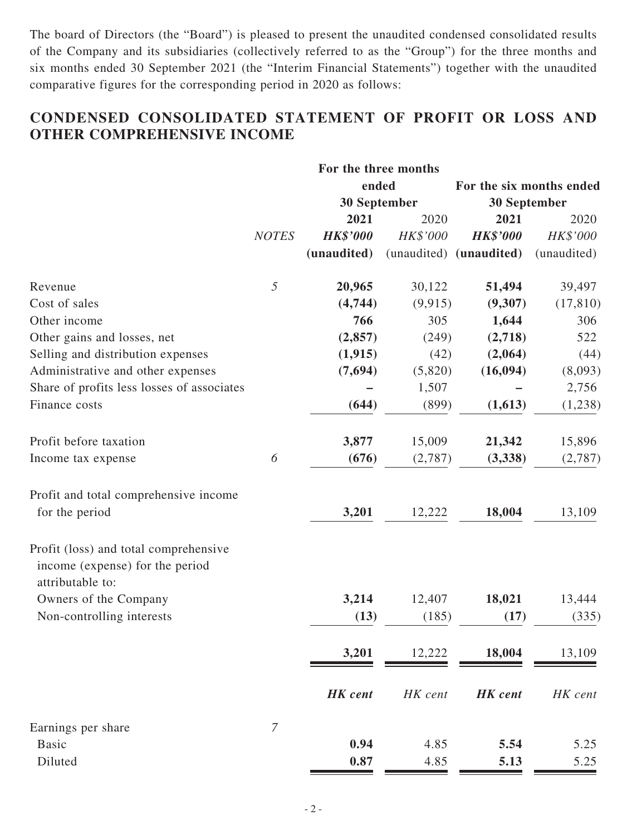The board of Directors (the "Board") is pleased to present the unaudited condensed consolidated results of the Company and its subsidiaries (collectively referred to as the "Group") for the three months and six months ended 30 September 2021 (the "Interim Financial Statements") together with the unaudited comparative figures for the corresponding period in 2020 as follows:

## **CONDENSED CONSOLIDATED STATEMENT OF PROFIT OR LOSS AND OTHER COMPREHENSIVE INCOME**

|                                                                                              | For the three months |                     |          |                          |             |
|----------------------------------------------------------------------------------------------|----------------------|---------------------|----------|--------------------------|-------------|
|                                                                                              |                      | ended               |          | For the six months ended |             |
|                                                                                              |                      | <b>30 September</b> |          | <b>30 September</b>      |             |
|                                                                                              |                      | 2021                | 2020     | 2021                     | 2020        |
|                                                                                              | <b>NOTES</b>         | <b>HK\$'000</b>     | HK\$'000 | <b>HK\$'000</b>          | HK\$'000    |
|                                                                                              |                      | (unaudited)         |          | (unaudited) (unaudited)  | (unaudited) |
| Revenue                                                                                      | 5                    | 20,965              | 30,122   | 51,494                   | 39,497      |
| Cost of sales                                                                                |                      | (4,744)             | (9, 915) | (9,307)                  | (17, 810)   |
| Other income                                                                                 |                      | 766                 | 305      | 1,644                    | 306         |
| Other gains and losses, net                                                                  |                      | (2, 857)            | (249)    | (2,718)                  | 522         |
| Selling and distribution expenses                                                            |                      | (1, 915)            | (42)     | (2,064)                  | (44)        |
| Administrative and other expenses                                                            |                      | (7,694)             | (5,820)  | (16, 094)                | (8,093)     |
| Share of profits less losses of associates                                                   |                      |                     | 1,507    |                          | 2,756       |
| Finance costs                                                                                |                      | (644)               | (899)    | (1,613)                  | (1,238)     |
| Profit before taxation                                                                       |                      | 3,877               | 15,009   | 21,342                   | 15,896      |
| Income tax expense                                                                           | 6                    | (676)               | (2,787)  | (3,338)                  | (2,787)     |
| Profit and total comprehensive income<br>for the period                                      |                      | 3,201               | 12,222   | 18,004                   | 13,109      |
|                                                                                              |                      |                     |          |                          |             |
| Profit (loss) and total comprehensive<br>income (expense) for the period<br>attributable to: |                      |                     |          |                          |             |
| Owners of the Company                                                                        |                      | 3,214               | 12,407   | 18,021                   | 13,444      |
| Non-controlling interests                                                                    |                      | (13)                | (185)    | (17)                     | (335)       |
|                                                                                              |                      | 3,201               | 12,222   | 18,004                   | 13,109      |
|                                                                                              |                      | <b>HK</b> cent      | HK cent  | <b>HK</b> cent           | HK cent     |
| Earnings per share                                                                           | $\boldsymbol{7}$     |                     |          |                          |             |
| <b>Basic</b>                                                                                 |                      | 0.94                | 4.85     | 5.54                     | 5.25        |
| Diluted                                                                                      |                      | 0.87                | 4.85     | 5.13                     | 5.25        |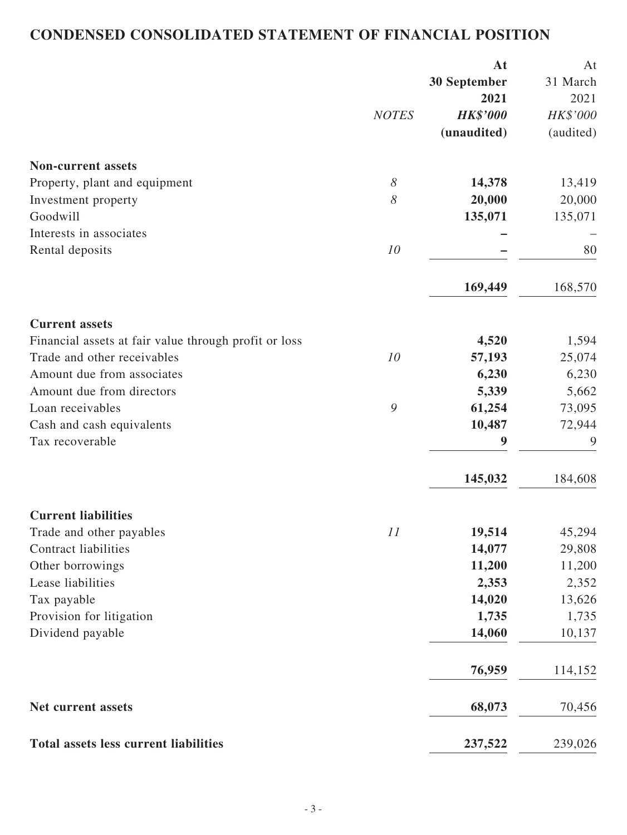## **CONDENSED CONSOLIDATED STATEMENT OF FINANCIAL POSITION**

|                                                       |              | At                  | At        |
|-------------------------------------------------------|--------------|---------------------|-----------|
|                                                       |              | <b>30 September</b> | 31 March  |
|                                                       |              | 2021                | 2021      |
|                                                       | <b>NOTES</b> | <b>HK\$'000</b>     | HK\$'000  |
|                                                       |              | (unaudited)         | (audited) |
| <b>Non-current assets</b>                             |              |                     |           |
| Property, plant and equipment                         | 8            | 14,378              | 13,419    |
| Investment property                                   | 8            | 20,000              | 20,000    |
| Goodwill                                              |              | 135,071             | 135,071   |
| Interests in associates                               |              |                     |           |
| Rental deposits                                       | 10           |                     | 80        |
|                                                       |              | 169,449             | 168,570   |
| <b>Current assets</b>                                 |              |                     |           |
| Financial assets at fair value through profit or loss |              | 4,520               | 1,594     |
| Trade and other receivables                           | 10           | 57,193              | 25,074    |
| Amount due from associates                            |              | 6,230               | 6,230     |
| Amount due from directors                             |              | 5,339               | 5,662     |
| Loan receivables                                      | 9            | 61,254              | 73,095    |
| Cash and cash equivalents                             |              | 10,487              | 72,944    |
| Tax recoverable                                       |              | 9                   | 9         |
|                                                       |              | 145,032             | 184,608   |
| <b>Current liabilities</b>                            |              |                     |           |
| Trade and other payables                              | 11           | 19,514              | 45,294    |
| <b>Contract liabilities</b>                           |              | 14,077              | 29,808    |
| Other borrowings                                      |              | 11,200              | 11,200    |
| Lease liabilities                                     |              | 2,353               | 2,352     |
| Tax payable                                           |              | 14,020              | 13,626    |
| Provision for litigation                              |              | 1,735               | 1,735     |
| Dividend payable                                      |              | 14,060              | 10,137    |
|                                                       |              | 76,959              | 114,152   |
| Net current assets                                    |              | 68,073              | 70,456    |
| Total assets less current liabilities                 |              | 237,522             | 239,026   |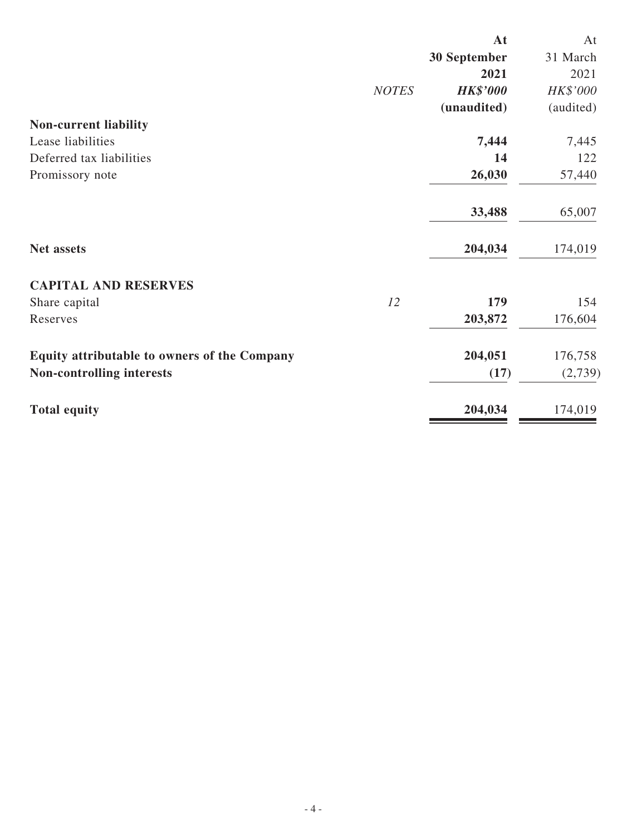|                                              |              | At              | At        |
|----------------------------------------------|--------------|-----------------|-----------|
|                                              |              | 30 September    | 31 March  |
|                                              |              | 2021            | 2021      |
|                                              | <b>NOTES</b> | <b>HK\$'000</b> | HK\$'000  |
|                                              |              | (unaudited)     | (audited) |
| Non-current liability                        |              |                 |           |
| Lease liabilities                            |              | 7,444           | 7,445     |
| Deferred tax liabilities                     |              | 14              | 122       |
| Promissory note                              |              | 26,030          | 57,440    |
|                                              |              | 33,488          | 65,007    |
| Net assets                                   |              | 204,034         | 174,019   |
| <b>CAPITAL AND RESERVES</b>                  |              |                 |           |
| Share capital                                | 12           | 179             | 154       |
| Reserves                                     |              | 203,872         | 176,604   |
| Equity attributable to owners of the Company |              | 204,051         | 176,758   |
| <b>Non-controlling interests</b>             |              | (17)            | (2,739)   |
| <b>Total equity</b>                          |              | 204,034         | 174,019   |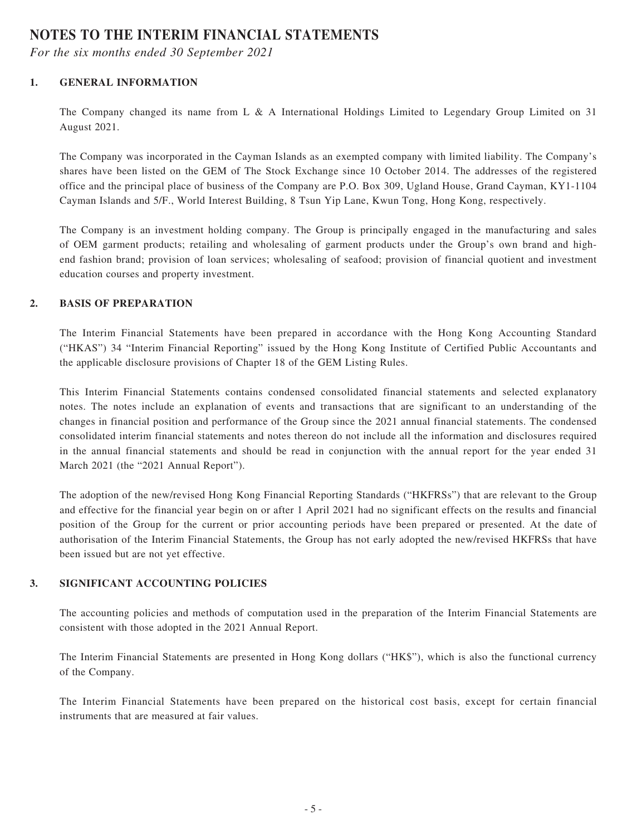### **NOTES TO THE INTERIM FINANCIAL STATEMENTS**

*For the six months ended 30 September 2021*

### **1. GENERAL INFORMATION**

The Company changed its name from L & A International Holdings Limited to Legendary Group Limited on 31 August 2021.

The Company was incorporated in the Cayman Islands as an exempted company with limited liability. The Company's shares have been listed on the GEM of The Stock Exchange since 10 October 2014. The addresses of the registered office and the principal place of business of the Company are P.O. Box 309, Ugland House, Grand Cayman, KY1-1104 Cayman Islands and 5/F., World Interest Building, 8 Tsun Yip Lane, Kwun Tong, Hong Kong, respectively.

The Company is an investment holding company. The Group is principally engaged in the manufacturing and sales of OEM garment products; retailing and wholesaling of garment products under the Group's own brand and highend fashion brand; provision of loan services; wholesaling of seafood; provision of financial quotient and investment education courses and property investment.

### **2. BASIS OF PREPARATION**

The Interim Financial Statements have been prepared in accordance with the Hong Kong Accounting Standard ("HKAS") 34 "Interim Financial Reporting" issued by the Hong Kong Institute of Certified Public Accountants and the applicable disclosure provisions of Chapter 18 of the GEM Listing Rules.

This Interim Financial Statements contains condensed consolidated financial statements and selected explanatory notes. The notes include an explanation of events and transactions that are significant to an understanding of the changes in financial position and performance of the Group since the 2021 annual financial statements. The condensed consolidated interim financial statements and notes thereon do not include all the information and disclosures required in the annual financial statements and should be read in conjunction with the annual report for the year ended 31 March 2021 (the "2021 Annual Report").

The adoption of the new/revised Hong Kong Financial Reporting Standards ("HKFRSs") that are relevant to the Group and effective for the financial year begin on or after 1 April 2021 had no significant effects on the results and financial position of the Group for the current or prior accounting periods have been prepared or presented. At the date of authorisation of the Interim Financial Statements, the Group has not early adopted the new/revised HKFRSs that have been issued but are not yet effective.

### **3. SIGNIFICANT ACCOUNTING POLICIES**

The accounting policies and methods of computation used in the preparation of the Interim Financial Statements are consistent with those adopted in the 2021 Annual Report.

The Interim Financial Statements are presented in Hong Kong dollars ("HK\$"), which is also the functional currency of the Company.

The Interim Financial Statements have been prepared on the historical cost basis, except for certain financial instruments that are measured at fair values.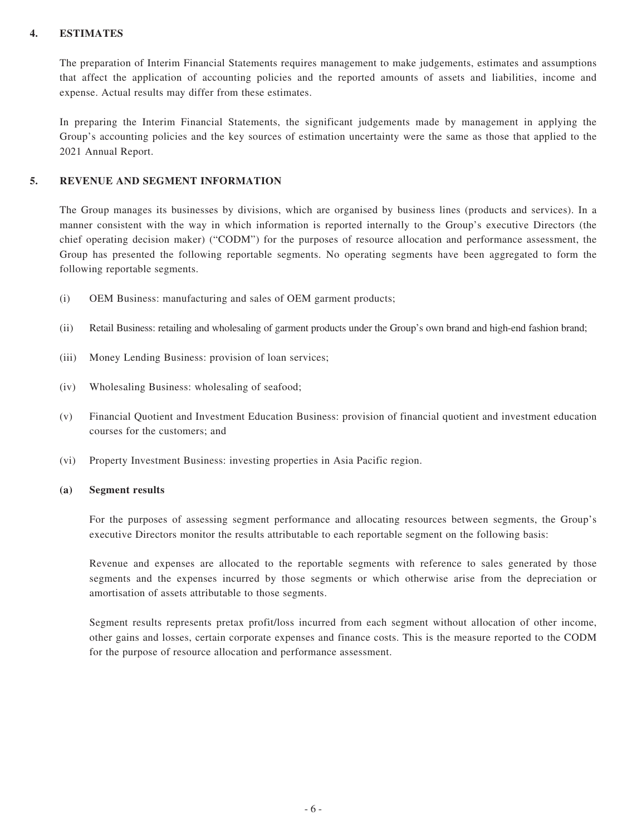#### **4. ESTIMATES**

The preparation of Interim Financial Statements requires management to make judgements, estimates and assumptions that affect the application of accounting policies and the reported amounts of assets and liabilities, income and expense. Actual results may differ from these estimates.

In preparing the Interim Financial Statements, the significant judgements made by management in applying the Group's accounting policies and the key sources of estimation uncertainty were the same as those that applied to the 2021 Annual Report.

#### **5. REVENUE AND SEGMENT INFORMATION**

The Group manages its businesses by divisions, which are organised by business lines (products and services). In a manner consistent with the way in which information is reported internally to the Group's executive Directors (the chief operating decision maker) ("CODM") for the purposes of resource allocation and performance assessment, the Group has presented the following reportable segments. No operating segments have been aggregated to form the following reportable segments.

- (i) OEM Business: manufacturing and sales of OEM garment products;
- (ii) Retail Business: retailing and wholesaling of garment products under the Group's own brand and high-end fashion brand;
- (iii) Money Lending Business: provision of loan services;
- (iv) Wholesaling Business: wholesaling of seafood;
- (v) Financial Quotient and Investment Education Business: provision of financial quotient and investment education courses for the customers; and
- (vi) Property Investment Business: investing properties in Asia Pacific region.

#### **(a) Segment results**

For the purposes of assessing segment performance and allocating resources between segments, the Group's executive Directors monitor the results attributable to each reportable segment on the following basis:

Revenue and expenses are allocated to the reportable segments with reference to sales generated by those segments and the expenses incurred by those segments or which otherwise arise from the depreciation or amortisation of assets attributable to those segments.

Segment results represents pretax profit/loss incurred from each segment without allocation of other income, other gains and losses, certain corporate expenses and finance costs. This is the measure reported to the CODM for the purpose of resource allocation and performance assessment.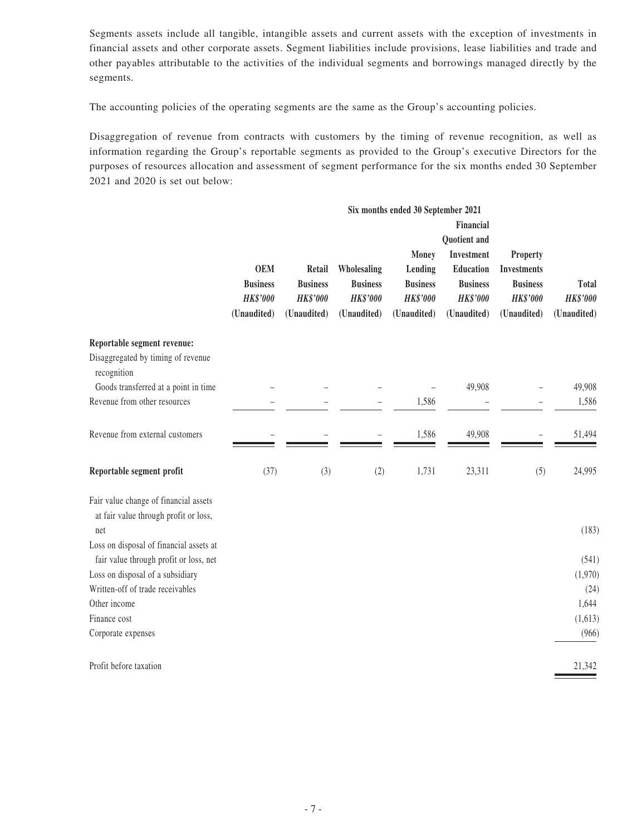Segments assets include all tangible, intangible assets and current assets with the exception of investments in financial assets and other corporate assets. Segment liabilities include provisions, lease liabilities and trade and other payables attributable to the activities of the individual segments and borrowings managed directly by the segments.

The accounting policies of the operating segments are the same as the Group's accounting policies.

Disaggregation of revenue from contracts with customers by the timing of revenue recognition, as well as information regarding the Group's reportable segments as provided to the Group's executive Directors for the purposes of resources allocation and assessment of segment performance for the six months ended 30 September 2021 and 2020 is set out below:

|                                                                                       | Six months ended 30 September 2021<br>Financial<br>Quotient and<br>Investment<br>Money<br><b>OEM</b><br>Lending<br>Education<br>Retail<br>Wholesaling<br><b>Business</b><br><b>Business</b><br><b>Business</b><br><b>Business</b><br><b>Business</b><br><b>HK\$'000</b><br><b>HK\$'000</b><br><b>HK\$'000</b><br><b>HK\$'000</b><br><b>HK\$'000</b> |             |             |             |             | Property<br><b>Investments</b><br><b>Business</b><br><b>HK\$'000</b> | Total<br><b>HK\$'000</b> |
|---------------------------------------------------------------------------------------|-----------------------------------------------------------------------------------------------------------------------------------------------------------------------------------------------------------------------------------------------------------------------------------------------------------------------------------------------------|-------------|-------------|-------------|-------------|----------------------------------------------------------------------|--------------------------|
|                                                                                       | (Unaudited)                                                                                                                                                                                                                                                                                                                                         | (Unaudited) | (Unaudited) | (Unaudited) | (Unaudited) | (Unaudited)                                                          | (Unaudited)              |
| Reportable segment revenue:<br>Disaggregated by timing of revenue<br>recognition      |                                                                                                                                                                                                                                                                                                                                                     |             |             |             |             |                                                                      |                          |
| Goods transferred at a point in time                                                  |                                                                                                                                                                                                                                                                                                                                                     |             |             |             | 49,908      |                                                                      | 49,908                   |
| Revenue from other resources                                                          |                                                                                                                                                                                                                                                                                                                                                     |             |             | 1,586       |             |                                                                      | 1,586                    |
| Revenue from external customers                                                       |                                                                                                                                                                                                                                                                                                                                                     |             |             | 1,586       | 49,908      |                                                                      | 51,494                   |
| Reportable segment profit                                                             | (37)                                                                                                                                                                                                                                                                                                                                                | (3)         | (2)         | 1,731       | 23,311      | (5)                                                                  | 24,995                   |
| Fair value change of financial assets<br>at fair value through profit or loss,<br>net |                                                                                                                                                                                                                                                                                                                                                     |             |             |             |             |                                                                      | (183)                    |
| Loss on disposal of financial assets at                                               |                                                                                                                                                                                                                                                                                                                                                     |             |             |             |             |                                                                      |                          |
| fair value through profit or loss, net<br>Loss on disposal of a subsidiary            |                                                                                                                                                                                                                                                                                                                                                     |             |             |             |             |                                                                      | (541)<br>(1,970)         |
| Written-off of trade receivables                                                      |                                                                                                                                                                                                                                                                                                                                                     |             |             |             |             |                                                                      | (24)                     |
| Other income                                                                          |                                                                                                                                                                                                                                                                                                                                                     |             |             |             |             |                                                                      | 1,644                    |
| Finance cost                                                                          |                                                                                                                                                                                                                                                                                                                                                     |             |             |             |             |                                                                      | (1,613)                  |
| Corporate expenses                                                                    |                                                                                                                                                                                                                                                                                                                                                     |             |             |             |             |                                                                      | (966)                    |
| Profit before taxation                                                                |                                                                                                                                                                                                                                                                                                                                                     |             |             |             |             |                                                                      | 21,342                   |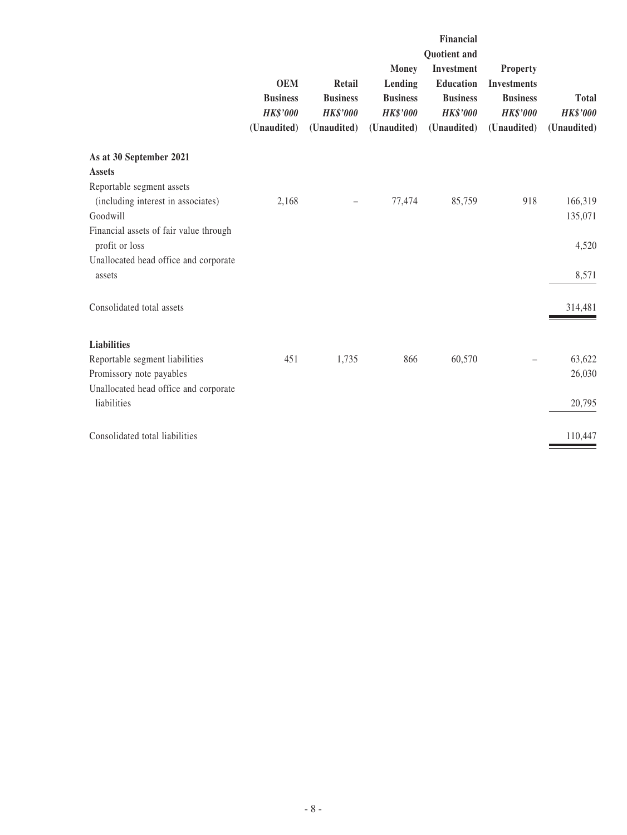|                                                          |                                                                 |                                                             |                                                                              | Financial                                                                                    |                                                                                            |                                                |
|----------------------------------------------------------|-----------------------------------------------------------------|-------------------------------------------------------------|------------------------------------------------------------------------------|----------------------------------------------------------------------------------------------|--------------------------------------------------------------------------------------------|------------------------------------------------|
|                                                          | <b>OEM</b><br><b>Business</b><br><b>HK\$'000</b><br>(Unaudited) | Retail<br><b>Business</b><br><b>HK\$'000</b><br>(Unaudited) | <b>Money</b><br>Lending<br><b>Business</b><br><b>HK\$'000</b><br>(Unaudited) | Quotient and<br>Investment<br>Education<br><b>Business</b><br><b>HK\$'000</b><br>(Unaudited) | <b>Property</b><br><b>Investments</b><br><b>Business</b><br><b>HK\$'000</b><br>(Unaudited) | <b>Total</b><br><b>HK\$'000</b><br>(Unaudited) |
| As at 30 September 2021                                  |                                                                 |                                                             |                                                                              |                                                                                              |                                                                                            |                                                |
| <b>Assets</b>                                            |                                                                 |                                                             |                                                                              |                                                                                              |                                                                                            |                                                |
| Reportable segment assets                                |                                                                 |                                                             |                                                                              |                                                                                              |                                                                                            |                                                |
| (including interest in associates)                       | 2,168                                                           |                                                             | 77,474                                                                       | 85,759                                                                                       | 918                                                                                        | 166,319                                        |
| Goodwill                                                 |                                                                 |                                                             |                                                                              |                                                                                              |                                                                                            | 135,071                                        |
| Financial assets of fair value through<br>profit or loss |                                                                 |                                                             |                                                                              |                                                                                              |                                                                                            | 4,520                                          |
| Unallocated head office and corporate<br>assets          |                                                                 |                                                             |                                                                              |                                                                                              |                                                                                            | 8,571                                          |
| Consolidated total assets                                |                                                                 |                                                             |                                                                              |                                                                                              |                                                                                            | 314,481                                        |
| <b>Liabilities</b>                                       |                                                                 |                                                             |                                                                              |                                                                                              |                                                                                            |                                                |
| Reportable segment liabilities                           | 451                                                             | 1,735                                                       | 866                                                                          | 60,570                                                                                       |                                                                                            | 63,622                                         |
| Promissory note payables                                 |                                                                 |                                                             |                                                                              |                                                                                              |                                                                                            | 26,030                                         |
| Unallocated head office and corporate<br>liabilities     |                                                                 |                                                             |                                                                              |                                                                                              |                                                                                            |                                                |
|                                                          |                                                                 |                                                             |                                                                              |                                                                                              |                                                                                            | 20,795                                         |
| Consolidated total liabilities                           |                                                                 |                                                             |                                                                              |                                                                                              |                                                                                            | 110,447                                        |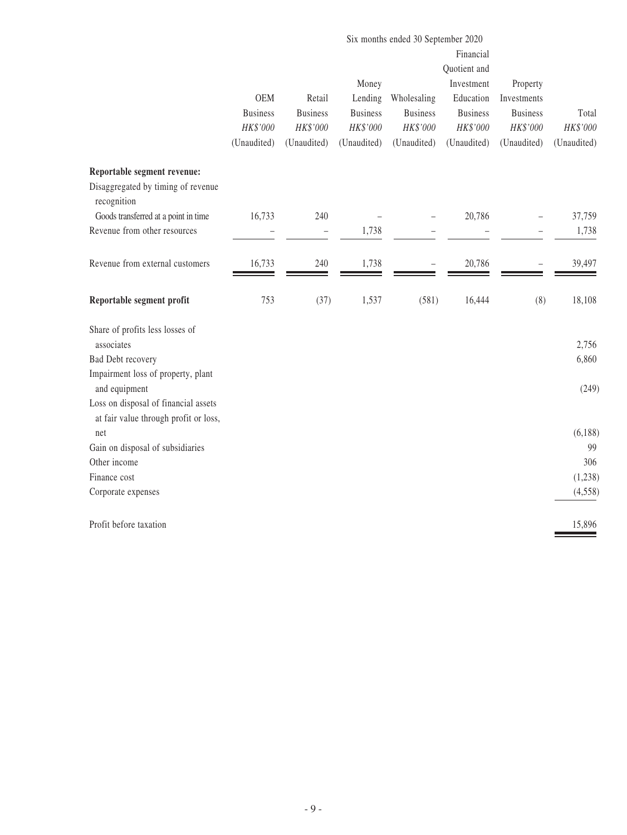|                                                                               | Six months ended 30 September 2020 |                 |                 |                 |                 |                 |             |
|-------------------------------------------------------------------------------|------------------------------------|-----------------|-----------------|-----------------|-----------------|-----------------|-------------|
|                                                                               |                                    |                 |                 |                 | Financial       |                 |             |
|                                                                               |                                    |                 |                 |                 | Quotient and    |                 |             |
|                                                                               |                                    |                 | Money           |                 | Investment      | Property        |             |
|                                                                               | <b>OEM</b>                         | Retail          | Lending         | Wholesaling     | Education       | Investments     |             |
|                                                                               | <b>Business</b>                    | <b>Business</b> | <b>Business</b> | <b>Business</b> | <b>Business</b> | <b>Business</b> | Total       |
|                                                                               | HK\$'000                           | HK\$'000        | HK\$'000        | HK\$'000        | HK\$'000        | HK\$'000        | HK\$'000    |
|                                                                               | (Unaudited)                        | (Unaudited)     | (Unaudited)     | (Unaudited)     | (Unaudited)     | (Unaudited)     | (Unaudited) |
| Reportable segment revenue:                                                   |                                    |                 |                 |                 |                 |                 |             |
| Disaggregated by timing of revenue<br>recognition                             |                                    |                 |                 |                 |                 |                 |             |
| Goods transferred at a point in time                                          | 16,733                             | 240             |                 |                 | 20,786          |                 | 37,759      |
| Revenue from other resources                                                  |                                    | $\overline{a}$  | 1,738           |                 |                 |                 | 1,738       |
| Revenue from external customers                                               | 16,733                             | 240             | 1,738           |                 | 20,786          |                 | 39,497      |
| Reportable segment profit                                                     | 753                                | (37)            | 1,537           | (581)           | 16,444          | (8)             | 18,108      |
| Share of profits less losses of<br>associates                                 |                                    |                 |                 |                 |                 |                 | 2,756       |
| <b>Bad Debt recovery</b>                                                      |                                    |                 |                 |                 |                 |                 | 6,860       |
| Impairment loss of property, plant                                            |                                    |                 |                 |                 |                 |                 |             |
| and equipment                                                                 |                                    |                 |                 |                 |                 |                 | (249)       |
| Loss on disposal of financial assets<br>at fair value through profit or loss, |                                    |                 |                 |                 |                 |                 |             |
| net                                                                           |                                    |                 |                 |                 |                 |                 | (6,188)     |
| Gain on disposal of subsidiaries                                              |                                    |                 |                 |                 |                 |                 | 99          |
| Other income                                                                  |                                    |                 |                 |                 |                 |                 | 306         |
| Finance cost                                                                  |                                    |                 |                 |                 |                 |                 | (1,238)     |
| Corporate expenses                                                            |                                    |                 |                 |                 |                 |                 | (4,558)     |
| Profit before taxation                                                        |                                    |                 |                 |                 |                 |                 | 15,896      |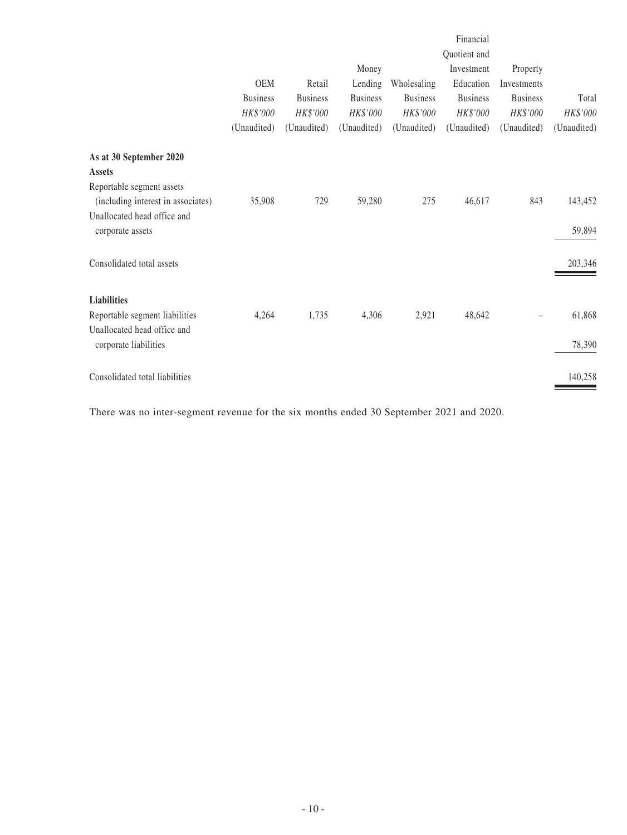|                                                                 | <b>OEM</b><br><b>Business</b><br>HK\$'000<br>(Unaudited) | Retail<br><b>Business</b><br>HK\$'000<br>(Unaudited) | Money<br>Lending<br><b>Business</b><br>HK\$'000<br>(Unaudited) | Wholesaling<br><b>Business</b><br>HK\$'000<br>(Unaudited) | Financial<br>Quotient and<br>Investment<br>Education<br><b>Business</b><br>HK\$'000<br>(Unaudited) | Property<br>Investments<br><b>Business</b><br>HK\$'000<br>(Unaudited) | Total<br>HK\$'000<br>(Unaudited) |
|-----------------------------------------------------------------|----------------------------------------------------------|------------------------------------------------------|----------------------------------------------------------------|-----------------------------------------------------------|----------------------------------------------------------------------------------------------------|-----------------------------------------------------------------------|----------------------------------|
| As at 30 September 2020<br><b>Assets</b>                        |                                                          |                                                      |                                                                |                                                           |                                                                                                    |                                                                       |                                  |
| Reportable segment assets<br>(including interest in associates) | 35,908                                                   | 729                                                  | 59,280                                                         | 275                                                       | 46,617                                                                                             | 843                                                                   | 143,452                          |
| Unallocated head office and<br>corporate assets                 |                                                          |                                                      |                                                                |                                                           |                                                                                                    |                                                                       | 59,894                           |
| Consolidated total assets                                       |                                                          |                                                      |                                                                |                                                           |                                                                                                    |                                                                       | 203,346                          |
| <b>Liabilities</b>                                              |                                                          |                                                      |                                                                |                                                           |                                                                                                    |                                                                       |                                  |
| Reportable segment liabilities                                  | 4,264                                                    | 1,735                                                | 4,306                                                          | 2,921                                                     | 48,642                                                                                             |                                                                       | 61,868                           |
| Unallocated head office and<br>corporate liabilities            |                                                          |                                                      |                                                                |                                                           |                                                                                                    |                                                                       | 78,390                           |
| Consolidated total liabilities                                  |                                                          |                                                      |                                                                |                                                           |                                                                                                    |                                                                       | 140,258                          |

There was no inter-segment revenue for the six months ended 30 September 2021 and 2020.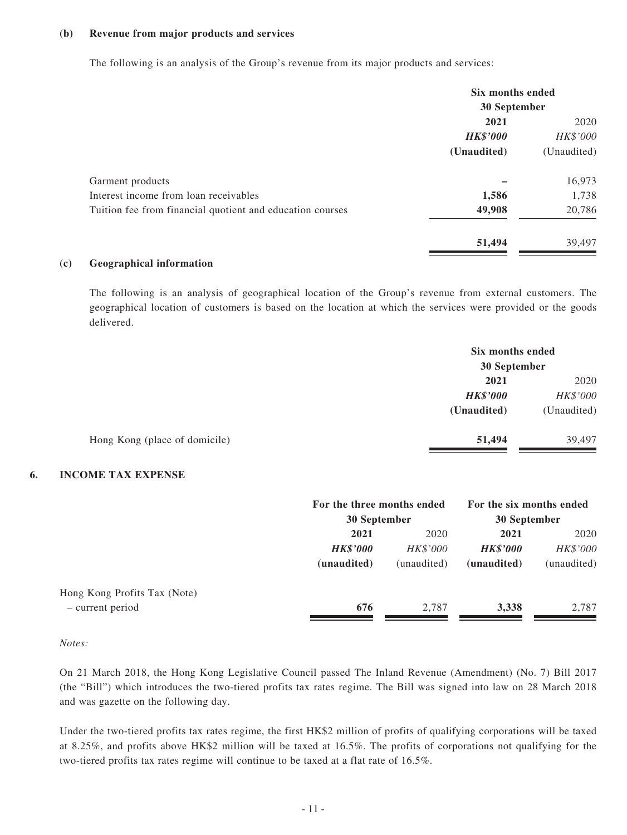#### **(b) Revenue from major products and services**

The following is an analysis of the Group's revenue from its major products and services:

|                                                           | Six months ended<br>30 September |             |  |
|-----------------------------------------------------------|----------------------------------|-------------|--|
|                                                           |                                  |             |  |
|                                                           | 2021                             |             |  |
|                                                           | <b>HK\$'000</b>                  | HK\$'000    |  |
|                                                           | (Unaudited)                      | (Unaudited) |  |
| Garment products                                          |                                  | 16,973      |  |
| Interest income from loan receivables                     | 1,586                            | 1,738       |  |
| Tuition fee from financial quotient and education courses | 49,908                           | 20,786      |  |
|                                                           | 51,494                           | 39,497      |  |

#### **(c) Geographical information**

The following is an analysis of geographical location of the Group's revenue from external customers. The geographical location of customers is based on the location at which the services were provided or the goods delivered.

|                               | Six months ended<br>30 September |             |  |
|-------------------------------|----------------------------------|-------------|--|
|                               |                                  |             |  |
|                               | 2021                             | 2020        |  |
|                               | <b>HK\$'000</b>                  | HK\$'000    |  |
|                               | (Unaudited)                      | (Unaudited) |  |
| Hong Kong (place of domicile) | 51,494                           | 39.497      |  |

#### **6. INCOME TAX EXPENSE**

|                 |                 | For the six months ended<br>30 September           |             |
|-----------------|-----------------|----------------------------------------------------|-------------|
|                 |                 |                                                    |             |
|                 |                 |                                                    | 2020        |
| <b>HK\$'000</b> | <i>HK\$'000</i> | <b>HK\$'000</b>                                    | HK\$'000    |
| (unaudited)     | (unaudited)     | (unaudited)                                        | (unaudited) |
|                 |                 |                                                    |             |
| 676             | 2.787           | 3,338                                              | 2,787       |
|                 | 2021            | For the three months ended<br>30 September<br>2020 | 2021        |

*Notes:*

On 21 March 2018, the Hong Kong Legislative Council passed The Inland Revenue (Amendment) (No. 7) Bill 2017 (the "Bill") which introduces the two-tiered profits tax rates regime. The Bill was signed into law on 28 March 2018 and was gazette on the following day.

Under the two-tiered profits tax rates regime, the first HK\$2 million of profits of qualifying corporations will be taxed at 8.25%, and profits above HK\$2 million will be taxed at 16.5%. The profits of corporations not qualifying for the two-tiered profits tax rates regime will continue to be taxed at a flat rate of 16.5%.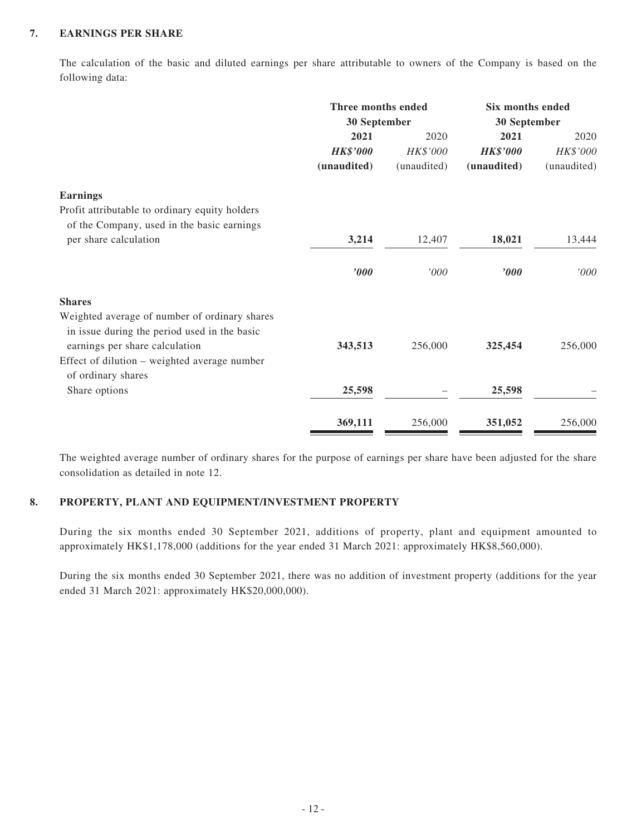#### **7. EARNINGS PER SHARE**

The calculation of the basic and diluted earnings per share attributable to owners of the Company is based on the following data:

|                                                                                                      | Three months ended<br>30 September |             | Six months ended<br>30 September |             |
|------------------------------------------------------------------------------------------------------|------------------------------------|-------------|----------------------------------|-------------|
|                                                                                                      | 2021                               | 2020        | 2021                             | 2020        |
|                                                                                                      | <b>HK\$'000</b>                    | HK\$'000    | <b>HK\$'000</b>                  | HK\$'000    |
|                                                                                                      | (unaudited)                        | (unaudited) | (unaudited)                      | (unaudited) |
| <b>Earnings</b>                                                                                      |                                    |             |                                  |             |
| Profit attributable to ordinary equity holders                                                       |                                    |             |                                  |             |
| of the Company, used in the basic earnings<br>per share calculation                                  | 3,214                              | 12,407      | 18,021                           | 13,444      |
|                                                                                                      | '000                               | '000        | '000                             | '000'       |
| <b>Shares</b>                                                                                        |                                    |             |                                  |             |
| Weighted average of number of ordinary shares<br>in issue during the period used in the basic        | 343,513                            | 256,000     | 325,454                          | 256,000     |
| earnings per share calculation<br>Effect of dilution – weighted average number<br>of ordinary shares |                                    |             |                                  |             |
| Share options                                                                                        | 25,598                             |             | 25,598                           |             |
|                                                                                                      | 369,111                            | 256,000     | 351,052                          | 256,000     |

The weighted average number of ordinary shares for the purpose of earnings per share have been adjusted for the share consolidation as detailed in note 12.

### **8. PROPERTY, PLANT AND EQUIPMENT/INVESTMENT PROPERTY**

During the six months ended 30 September 2021, additions of property, plant and equipment amounted to approximately HK\$1,178,000 (additions for the year ended 31 March 2021: approximately HK\$8,560,000).

During the six months ended 30 September 2021, there was no addition of investment property (additions for the year ended 31 March 2021: approximately HK\$20,000,000).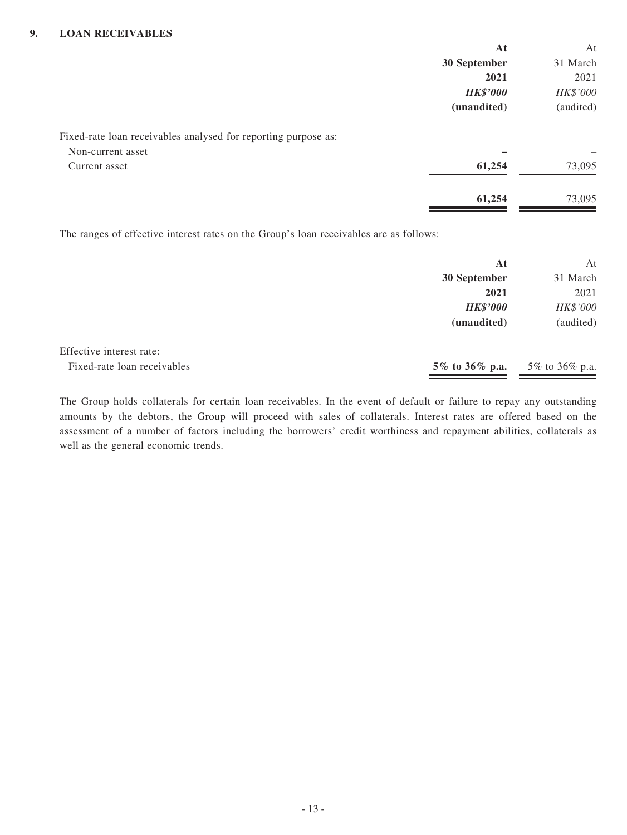|                                                                                        | At              | At        |
|----------------------------------------------------------------------------------------|-----------------|-----------|
|                                                                                        | 30 September    | 31 March  |
|                                                                                        | 2021            | 2021      |
|                                                                                        | <b>HK\$'000</b> | HK\$'000  |
|                                                                                        | (unaudited)     | (audited) |
| Fixed-rate loan receivables analysed for reporting purpose as:                         |                 |           |
| Non-current asset                                                                      |                 |           |
| Current asset                                                                          | 61,254          | 73,095    |
|                                                                                        | 61,254          | 73,095    |
| The ranges of effective interest rates on the Group's loan receivables are as follows: |                 |           |
|                                                                                        | At              | At        |
|                                                                                        | 30 September    | 31 March  |
|                                                                                        | 2021            | 2021      |
|                                                                                        | <b>HK\$'000</b> | HK\$'000  |
|                                                                                        | (unaudited)     | (audited) |

| Effective interest rate:    |                                   |  |
|-----------------------------|-----------------------------------|--|
| Fixed-rate loan receivables | 5\% to 36\% p.a. 5\% to 36\% p.a. |  |

The Group holds collaterals for certain loan receivables. In the event of default or failure to repay any outstanding amounts by the debtors, the Group will proceed with sales of collaterals. Interest rates are offered based on the assessment of a number of factors including the borrowers' credit worthiness and repayment abilities, collaterals as well as the general economic trends.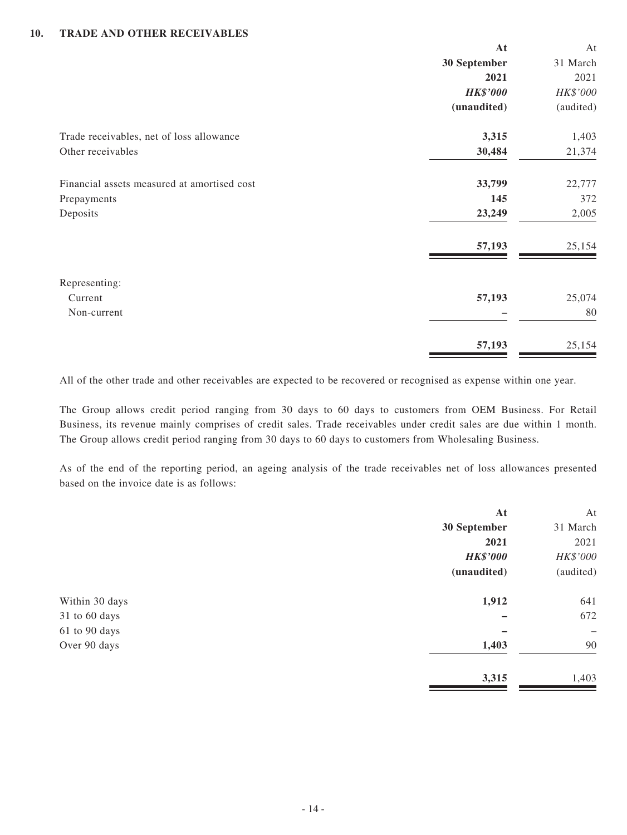#### **10. TRADE AND OTHER RECEIVABLES**

|                                             | At              | At        |
|---------------------------------------------|-----------------|-----------|
|                                             | 30 September    | 31 March  |
|                                             | 2021            | 2021      |
|                                             | <b>HK\$'000</b> | HK\$'000  |
|                                             | (unaudited)     | (audited) |
| Trade receivables, net of loss allowance    | 3,315           | 1,403     |
| Other receivables                           | 30,484          | 21,374    |
| Financial assets measured at amortised cost | 33,799          | 22,777    |
| Prepayments                                 | 145             | 372       |
| Deposits                                    | 23,249          | 2,005     |
|                                             | 57,193          | 25,154    |
| Representing:                               |                 |           |
| Current                                     | 57,193          | 25,074    |
| Non-current                                 |                 | 80        |
|                                             | 57,193          | 25,154    |

All of the other trade and other receivables are expected to be recovered or recognised as expense within one year.

The Group allows credit period ranging from 30 days to 60 days to customers from OEM Business. For Retail Business, its revenue mainly comprises of credit sales. Trade receivables under credit sales are due within 1 month. The Group allows credit period ranging from 30 days to 60 days to customers from Wholesaling Business.

As of the end of the reporting period, an ageing analysis of the trade receivables net of loss allowances presented based on the invoice date is as follows:

|                | At              | At                       |
|----------------|-----------------|--------------------------|
|                | 30 September    | 31 March                 |
|                | 2021            | 2021                     |
|                | <b>HK\$'000</b> | HK\$'000                 |
|                | (unaudited)     | (audited)                |
| Within 30 days | 1,912           | 641                      |
| 31 to 60 days  |                 | 672                      |
| 61 to 90 days  |                 | $\overline{\phantom{0}}$ |
| Over 90 days   | 1,403           | 90                       |
|                | 3,315           | 1,403                    |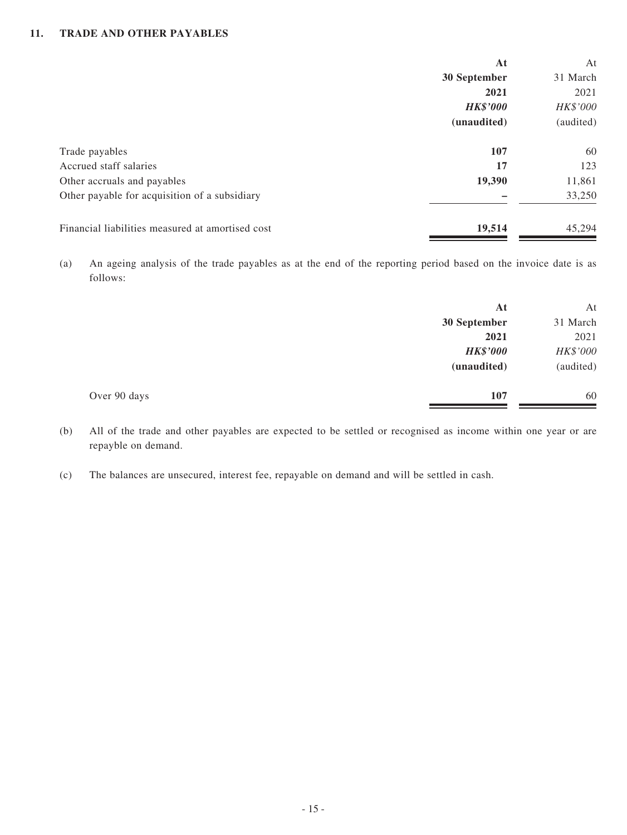#### **11. TRADE AND OTHER PAYABLES**

|                                                  | At              | At        |
|--------------------------------------------------|-----------------|-----------|
|                                                  | 30 September    | 31 March  |
|                                                  | 2021            | 2021      |
|                                                  | <b>HK\$'000</b> | HK\$'000  |
|                                                  | (unaudited)     | (audited) |
| Trade payables                                   | 107             | 60        |
| Accrued staff salaries                           | 17              | 123       |
| Other accruals and payables                      | 19,390          | 11,861    |
| Other payable for acquisition of a subsidiary    |                 | 33,250    |
| Financial liabilities measured at amortised cost | 19,514          | 45.294    |

(a) An ageing analysis of the trade payables as at the end of the reporting period based on the invoice date is as follows:

|              | At              | At        |
|--------------|-----------------|-----------|
|              | 30 September    | 31 March  |
|              | 2021            | 2021      |
|              | <b>HK\$'000</b> | HK\$'000  |
|              | (unaudited)     | (audited) |
| Over 90 days | 107             | 60        |

(b) All of the trade and other payables are expected to be settled or recognised as income within one year or are repayble on demand.

(c) The balances are unsecured, interest fee, repayable on demand and will be settled in cash.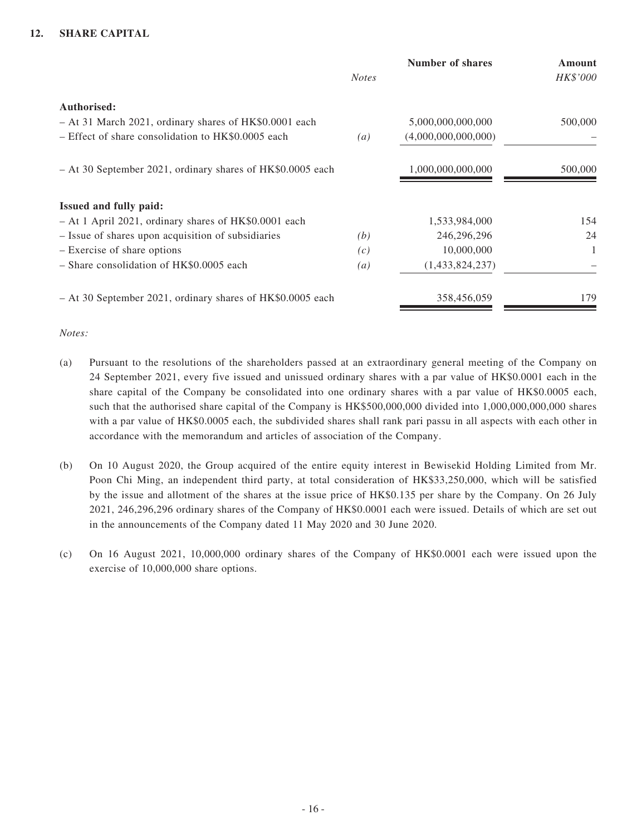#### **12. SHARE CAPITAL**

|                                                                       | <b>Notes</b>     | <b>Number of shares</b> | <b>Amount</b><br>HK\$'000 |
|-----------------------------------------------------------------------|------------------|-------------------------|---------------------------|
| Authorised:<br>- At 31 March 2021, ordinary shares of HK\$0.0001 each |                  | 5,000,000,000,000       | 500,000                   |
| - Effect of share consolidation to HK\$0.0005 each                    | $\left(a\right)$ | (4,000,000,000,000)     |                           |
| - At 30 September 2021, ordinary shares of HK\$0.0005 each            |                  | 1,000,000,000,000       | 500,000                   |
| Issued and fully paid:                                                |                  |                         |                           |
| - At 1 April 2021, ordinary shares of HK\$0.0001 each                 |                  | 1,533,984,000           | 154                       |
| - Issue of shares upon acquisition of subsidiaries                    | (b)              | 246,296,296             | 24                        |
| - Exercise of share options                                           | (c)              | 10,000,000              | 1                         |
| - Share consolidation of HK\$0.0005 each                              | $\left(a\right)$ | (1,433,824,237)         |                           |
| - At 30 September 2021, ordinary shares of HK\$0.0005 each            |                  | 358,456,059             | 179                       |

#### *Notes:*

- (a) Pursuant to the resolutions of the shareholders passed at an extraordinary general meeting of the Company on 24 September 2021, every five issued and unissued ordinary shares with a par value of HK\$0.0001 each in the share capital of the Company be consolidated into one ordinary shares with a par value of HK\$0.0005 each, such that the authorised share capital of the Company is HK\$500,000,000 divided into 1,000,000,000,000 shares with a par value of HK\$0.0005 each, the subdivided shares shall rank pari passu in all aspects with each other in accordance with the memorandum and articles of association of the Company.
- (b) On 10 August 2020, the Group acquired of the entire equity interest in Bewisekid Holding Limited from Mr. Poon Chi Ming, an independent third party, at total consideration of HK\$33,250,000, which will be satisfied by the issue and allotment of the shares at the issue price of HK\$0.135 per share by the Company. On 26 July 2021, 246,296,296 ordinary shares of the Company of HK\$0.0001 each were issued. Details of which are set out in the announcements of the Company dated 11 May 2020 and 30 June 2020.
- (c) On 16 August 2021, 10,000,000 ordinary shares of the Company of HK\$0.0001 each were issued upon the exercise of 10,000,000 share options.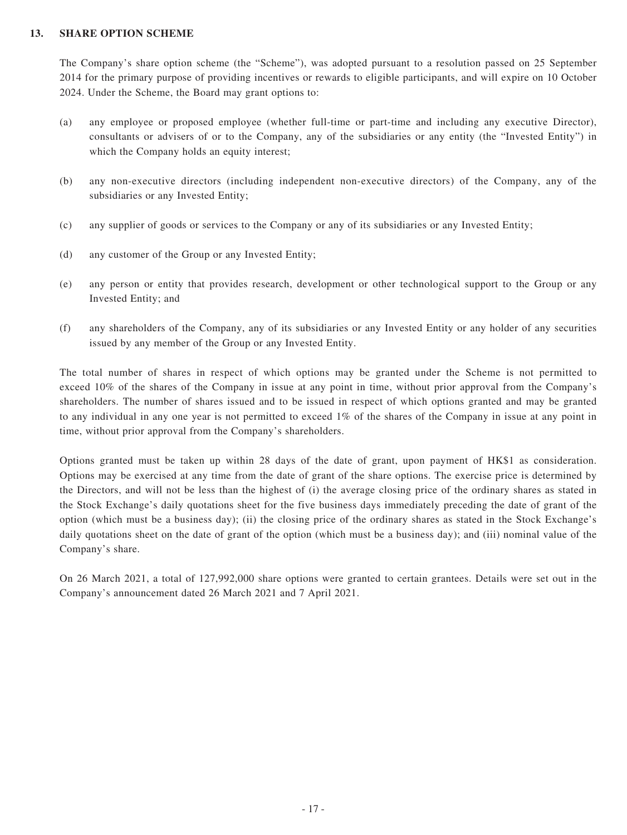#### **13. SHARE OPTION SCHEME**

The Company's share option scheme (the "Scheme"), was adopted pursuant to a resolution passed on 25 September 2014 for the primary purpose of providing incentives or rewards to eligible participants, and will expire on 10 October 2024. Under the Scheme, the Board may grant options to:

- (a) any employee or proposed employee (whether full-time or part-time and including any executive Director), consultants or advisers of or to the Company, any of the subsidiaries or any entity (the "Invested Entity") in which the Company holds an equity interest:
- (b) any non-executive directors (including independent non-executive directors) of the Company, any of the subsidiaries or any Invested Entity;
- (c) any supplier of goods or services to the Company or any of its subsidiaries or any Invested Entity;
- (d) any customer of the Group or any Invested Entity;
- (e) any person or entity that provides research, development or other technological support to the Group or any Invested Entity; and
- (f) any shareholders of the Company, any of its subsidiaries or any Invested Entity or any holder of any securities issued by any member of the Group or any Invested Entity.

The total number of shares in respect of which options may be granted under the Scheme is not permitted to exceed 10% of the shares of the Company in issue at any point in time, without prior approval from the Company's shareholders. The number of shares issued and to be issued in respect of which options granted and may be granted to any individual in any one year is not permitted to exceed 1% of the shares of the Company in issue at any point in time, without prior approval from the Company's shareholders.

Options granted must be taken up within 28 days of the date of grant, upon payment of HK\$1 as consideration. Options may be exercised at any time from the date of grant of the share options. The exercise price is determined by the Directors, and will not be less than the highest of (i) the average closing price of the ordinary shares as stated in the Stock Exchange's daily quotations sheet for the five business days immediately preceding the date of grant of the option (which must be a business day); (ii) the closing price of the ordinary shares as stated in the Stock Exchange's daily quotations sheet on the date of grant of the option (which must be a business day); and (iii) nominal value of the Company's share.

On 26 March 2021, a total of 127,992,000 share options were granted to certain grantees. Details were set out in the Company's announcement dated 26 March 2021 and 7 April 2021.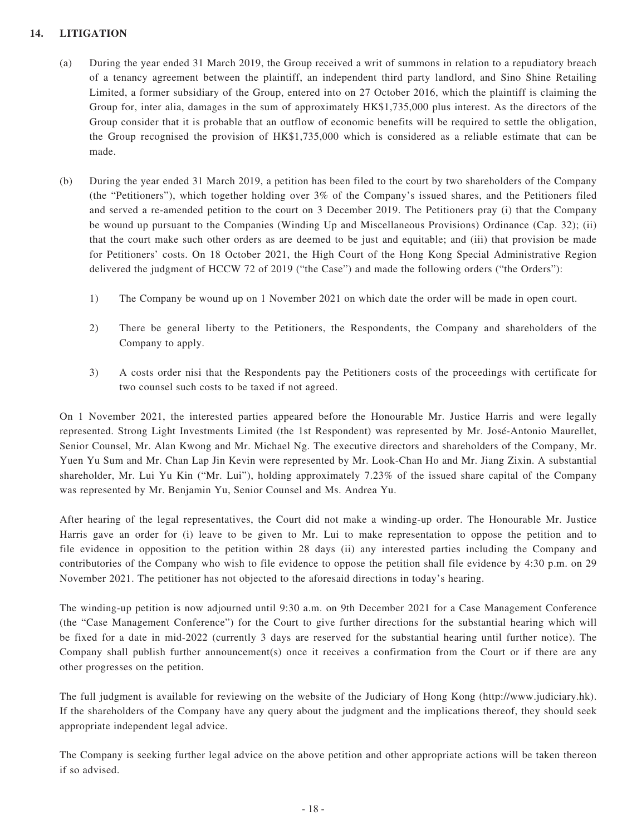### **14. LITIGATION**

- (a) During the year ended 31 March 2019, the Group received a writ of summons in relation to a repudiatory breach of a tenancy agreement between the plaintiff, an independent third party landlord, and Sino Shine Retailing Limited, a former subsidiary of the Group, entered into on 27 October 2016, which the plaintiff is claiming the Group for, inter alia, damages in the sum of approximately HK\$1,735,000 plus interest. As the directors of the Group consider that it is probable that an outflow of economic benefits will be required to settle the obligation, the Group recognised the provision of HK\$1,735,000 which is considered as a reliable estimate that can be made.
- (b) During the year ended 31 March 2019, a petition has been filed to the court by two shareholders of the Company (the "Petitioners"), which together holding over 3% of the Company's issued shares, and the Petitioners filed and served a re-amended petition to the court on 3 December 2019. The Petitioners pray (i) that the Company be wound up pursuant to the Companies (Winding Up and Miscellaneous Provisions) Ordinance (Cap. 32); (ii) that the court make such other orders as are deemed to be just and equitable; and (iii) that provision be made for Petitioners' costs. On 18 October 2021, the High Court of the Hong Kong Special Administrative Region delivered the judgment of HCCW 72 of 2019 ("the Case") and made the following orders ("the Orders"):
	- 1) The Company be wound up on 1 November 2021 on which date the order will be made in open court.
	- 2) There be general liberty to the Petitioners, the Respondents, the Company and shareholders of the Company to apply.
	- 3) A costs order nisi that the Respondents pay the Petitioners costs of the proceedings with certificate for two counsel such costs to be taxed if not agreed.

On 1 November 2021, the interested parties appeared before the Honourable Mr. Justice Harris and were legally represented. Strong Light Investments Limited (the 1st Respondent) was represented by Mr. José-Antonio Maurellet, Senior Counsel, Mr. Alan Kwong and Mr. Michael Ng. The executive directors and shareholders of the Company, Mr. Yuen Yu Sum and Mr. Chan Lap Jin Kevin were represented by Mr. Look-Chan Ho and Mr. Jiang Zixin. A substantial shareholder, Mr. Lui Yu Kin ("Mr. Lui"), holding approximately 7.23% of the issued share capital of the Company was represented by Mr. Benjamin Yu, Senior Counsel and Ms. Andrea Yu.

After hearing of the legal representatives, the Court did not make a winding-up order. The Honourable Mr. Justice Harris gave an order for (i) leave to be given to Mr. Lui to make representation to oppose the petition and to file evidence in opposition to the petition within 28 days (ii) any interested parties including the Company and contributories of the Company who wish to file evidence to oppose the petition shall file evidence by 4:30 p.m. on 29 November 2021. The petitioner has not objected to the aforesaid directions in today's hearing.

The winding-up petition is now adjourned until 9:30 a.m. on 9th December 2021 for a Case Management Conference (the "Case Management Conference") for the Court to give further directions for the substantial hearing which will be fixed for a date in mid-2022 (currently 3 days are reserved for the substantial hearing until further notice). The Company shall publish further announcement(s) once it receives a confirmation from the Court or if there are any other progresses on the petition.

The full judgment is available for reviewing on the website of the Judiciary of Hong Kong (http://www.judiciary.hk). If the shareholders of the Company have any query about the judgment and the implications thereof, they should seek appropriate independent legal advice.

The Company is seeking further legal advice on the above petition and other appropriate actions will be taken thereon if so advised.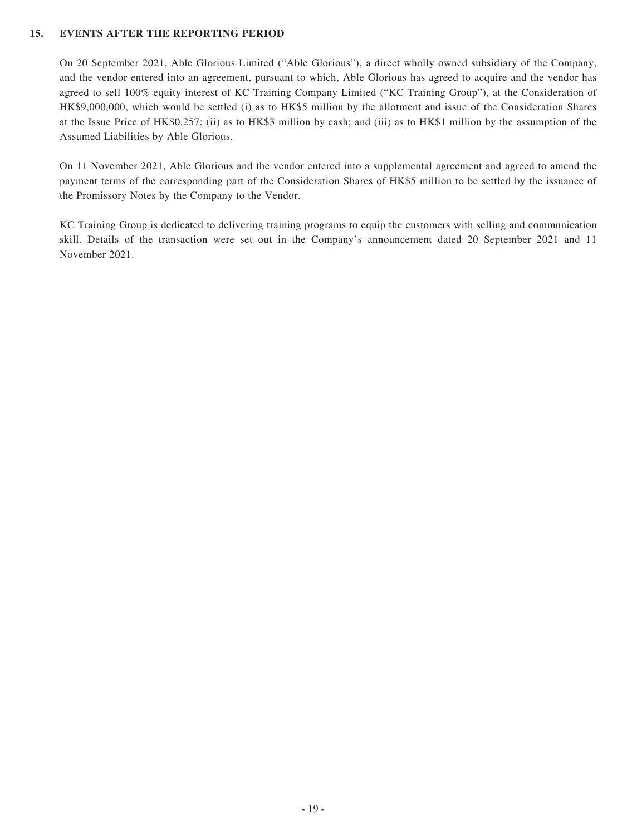#### **15. EVENTS AFTER THE REPORTING PERIOD**

On 20 September 2021, Able Glorious Limited ("Able Glorious"), a direct wholly owned subsidiary of the Company, and the vendor entered into an agreement, pursuant to which, Able Glorious has agreed to acquire and the vendor has agreed to sell 100% equity interest of KC Training Company Limited ("KC Training Group"), at the Consideration of HK\$9,000,000, which would be settled (i) as to HK\$5 million by the allotment and issue of the Consideration Shares at the Issue Price of HK\$0.257; (ii) as to HK\$3 million by cash; and (iii) as to HK\$1 million by the assumption of the Assumed Liabilities by Able Glorious.

On 11 November 2021, Able Glorious and the vendor entered into a supplemental agreement and agreed to amend the payment terms of the corresponding part of the Consideration Shares of HK\$5 million to be settled by the issuance of the Promissory Notes by the Company to the Vendor.

KC Training Group is dedicated to delivering training programs to equip the customers with selling and communication skill. Details of the transaction were set out in the Company's announcement dated 20 September 2021 and 11 November 2021.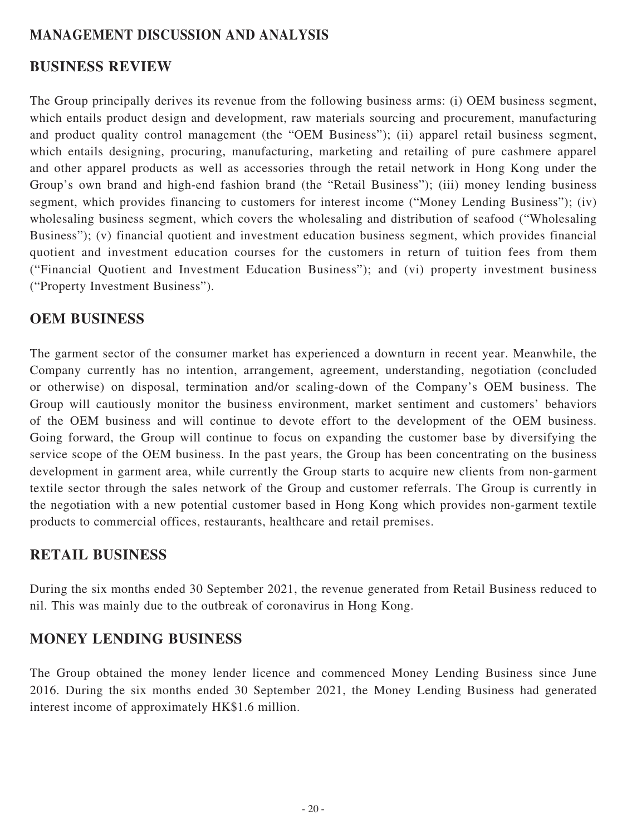### **MANAGEMENT DISCUSSION AND ANALYSIS**

### **BUSINESS REVIEW**

The Group principally derives its revenue from the following business arms: (i) OEM business segment, which entails product design and development, raw materials sourcing and procurement, manufacturing and product quality control management (the "OEM Business"); (ii) apparel retail business segment, which entails designing, procuring, manufacturing, marketing and retailing of pure cashmere apparel and other apparel products as well as accessories through the retail network in Hong Kong under the Group's own brand and high-end fashion brand (the "Retail Business"); (iii) money lending business segment, which provides financing to customers for interest income ("Money Lending Business"); (iv) wholesaling business segment, which covers the wholesaling and distribution of seafood ("Wholesaling Business"); (v) financial quotient and investment education business segment, which provides financial quotient and investment education courses for the customers in return of tuition fees from them ("Financial Quotient and Investment Education Business"); and (vi) property investment business ("Property Investment Business").

### **OEM BUSINESS**

The garment sector of the consumer market has experienced a downturn in recent year. Meanwhile, the Company currently has no intention, arrangement, agreement, understanding, negotiation (concluded or otherwise) on disposal, termination and/or scaling-down of the Company's OEM business. The Group will cautiously monitor the business environment, market sentiment and customers' behaviors of the OEM business and will continue to devote effort to the development of the OEM business. Going forward, the Group will continue to focus on expanding the customer base by diversifying the service scope of the OEM business. In the past years, the Group has been concentrating on the business development in garment area, while currently the Group starts to acquire new clients from non-garment textile sector through the sales network of the Group and customer referrals. The Group is currently in the negotiation with a new potential customer based in Hong Kong which provides non-garment textile products to commercial offices, restaurants, healthcare and retail premises.

## **RETAIL BUSINESS**

During the six months ended 30 September 2021, the revenue generated from Retail Business reduced to nil. This was mainly due to the outbreak of coronavirus in Hong Kong.

### **MONEY LENDING BUSINESS**

The Group obtained the money lender licence and commenced Money Lending Business since June 2016. During the six months ended 30 September 2021, the Money Lending Business had generated interest income of approximately HK\$1.6 million.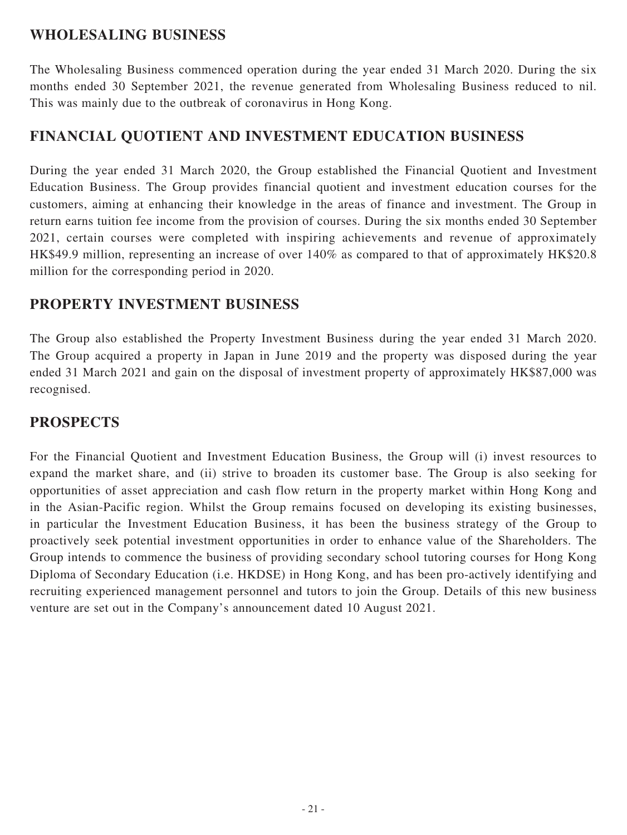## **WHOLESALING BUSINESS**

The Wholesaling Business commenced operation during the year ended 31 March 2020. During the six months ended 30 September 2021, the revenue generated from Wholesaling Business reduced to nil. This was mainly due to the outbreak of coronavirus in Hong Kong.

## **FINANCIAL QUOTIENT AND INVESTMENT EDUCATION BUSINESS**

During the year ended 31 March 2020, the Group established the Financial Quotient and Investment Education Business. The Group provides financial quotient and investment education courses for the customers, aiming at enhancing their knowledge in the areas of finance and investment. The Group in return earns tuition fee income from the provision of courses. During the six months ended 30 September 2021, certain courses were completed with inspiring achievements and revenue of approximately HK\$49.9 million, representing an increase of over 140% as compared to that of approximately HK\$20.8 million for the corresponding period in 2020.

### **PROPERTY INVESTMENT BUSINESS**

The Group also established the Property Investment Business during the year ended 31 March 2020. The Group acquired a property in Japan in June 2019 and the property was disposed during the year ended 31 March 2021 and gain on the disposal of investment property of approximately HK\$87,000 was recognised.

## **PROSPECTS**

For the Financial Quotient and Investment Education Business, the Group will (i) invest resources to expand the market share, and (ii) strive to broaden its customer base. The Group is also seeking for opportunities of asset appreciation and cash flow return in the property market within Hong Kong and in the Asian-Pacific region. Whilst the Group remains focused on developing its existing businesses, in particular the Investment Education Business, it has been the business strategy of the Group to proactively seek potential investment opportunities in order to enhance value of the Shareholders. The Group intends to commence the business of providing secondary school tutoring courses for Hong Kong Diploma of Secondary Education (i.e. HKDSE) in Hong Kong, and has been pro-actively identifying and recruiting experienced management personnel and tutors to join the Group. Details of this new business venture are set out in the Company's announcement dated 10 August 2021.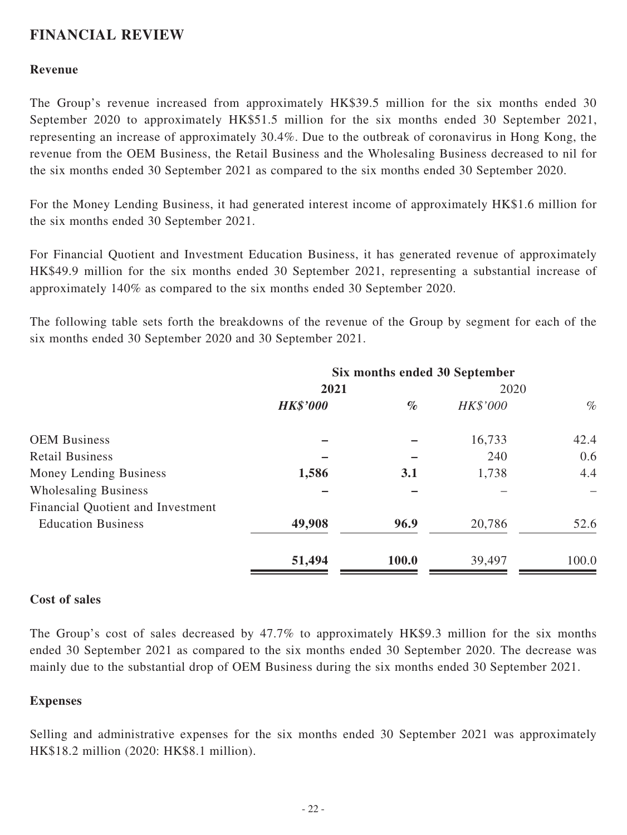## **FINANCIAL REVIEW**

### **Revenue**

The Group's revenue increased from approximately HK\$39.5 million for the six months ended 30 September 2020 to approximately HK\$51.5 million for the six months ended 30 September 2021, representing an increase of approximately 30.4%. Due to the outbreak of coronavirus in Hong Kong, the revenue from the OEM Business, the Retail Business and the Wholesaling Business decreased to nil for the six months ended 30 September 2021 as compared to the six months ended 30 September 2020.

For the Money Lending Business, it had generated interest income of approximately HK\$1.6 million for the six months ended 30 September 2021.

For Financial Quotient and Investment Education Business, it has generated revenue of approximately HK\$49.9 million for the six months ended 30 September 2021, representing a substantial increase of approximately 140% as compared to the six months ended 30 September 2020.

The following table sets forth the breakdowns of the revenue of the Group by segment for each of the six months ended 30 September 2020 and 30 September 2021.

|                                   | Six months ended 30 September |       |          |       |  |
|-----------------------------------|-------------------------------|-------|----------|-------|--|
|                                   | 2021                          |       | 2020     |       |  |
|                                   | <b>HK\$'000</b>               | $\%$  | HK\$'000 | $\%$  |  |
| <b>OEM Business</b>               |                               |       | 16,733   | 42.4  |  |
| <b>Retail Business</b>            |                               |       | 240      | 0.6   |  |
| Money Lending Business            | 1,586                         | 3.1   | 1,738    | 4.4   |  |
| <b>Wholesaling Business</b>       |                               |       |          |       |  |
| Financial Quotient and Investment |                               |       |          |       |  |
| <b>Education Business</b>         | 49,908                        | 96.9  | 20,786   | 52.6  |  |
|                                   | 51,494                        | 100.0 | 39,497   | 100.0 |  |

### **Cost of sales**

The Group's cost of sales decreased by 47.7% to approximately HK\$9.3 million for the six months ended 30 September 2021 as compared to the six months ended 30 September 2020. The decrease was mainly due to the substantial drop of OEM Business during the six months ended 30 September 2021.

### **Expenses**

Selling and administrative expenses for the six months ended 30 September 2021 was approximately HK\$18.2 million (2020: HK\$8.1 million).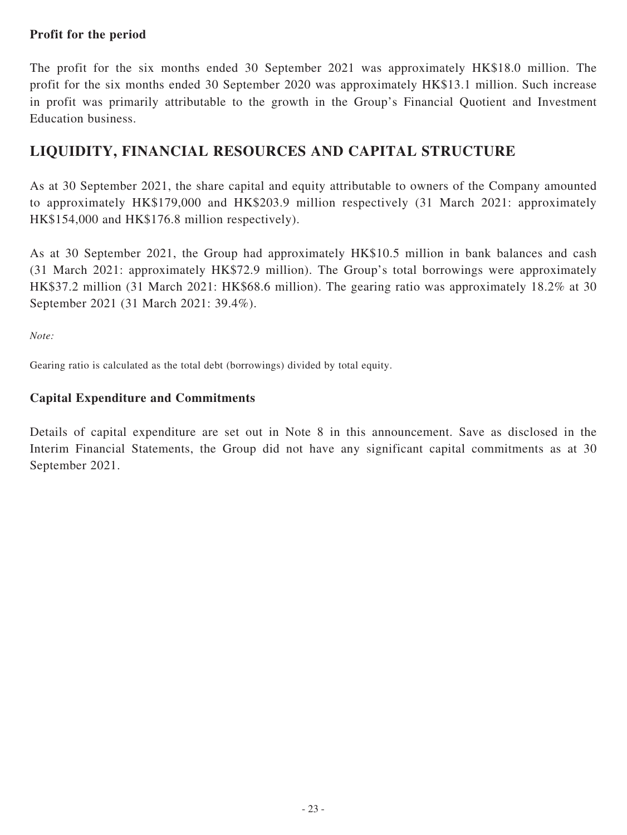### **Profit for the period**

The profit for the six months ended 30 September 2021 was approximately HK\$18.0 million. The profit for the six months ended 30 September 2020 was approximately HK\$13.1 million. Such increase in profit was primarily attributable to the growth in the Group's Financial Quotient and Investment Education business.

## **LIQUIDITY, FINANCIAL RESOURCES AND CAPITAL STRUCTURE**

As at 30 September 2021, the share capital and equity attributable to owners of the Company amounted to approximately HK\$179,000 and HK\$203.9 million respectively (31 March 2021: approximately HK\$154,000 and HK\$176.8 million respectively).

As at 30 September 2021, the Group had approximately HK\$10.5 million in bank balances and cash (31 March 2021: approximately HK\$72.9 million). The Group's total borrowings were approximately HK\$37.2 million (31 March 2021: HK\$68.6 million). The gearing ratio was approximately 18.2% at 30 September 2021 (31 March 2021: 39.4%).

*Note:*

Gearing ratio is calculated as the total debt (borrowings) divided by total equity.

### **Capital Expenditure and Commitments**

Details of capital expenditure are set out in Note 8 in this announcement. Save as disclosed in the Interim Financial Statements, the Group did not have any significant capital commitments as at 30 September 2021.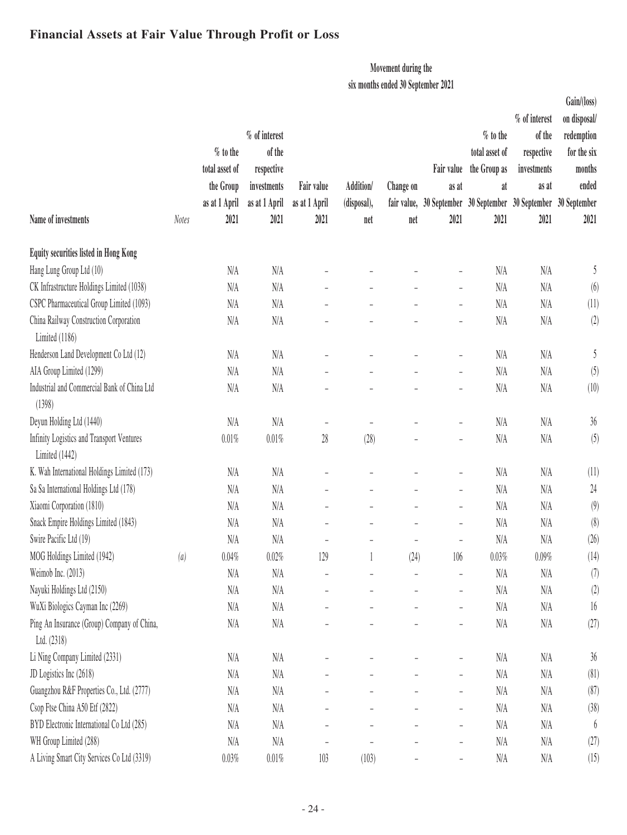## **Financial Assets at Fair Value Through Profit or Loss**

### **Movement during the**

**six months ended 30 September 2021**

|                                                             |              |                |               |                          |                          |           |                              |                                                                 |               | Gain/(loss)           |
|-------------------------------------------------------------|--------------|----------------|---------------|--------------------------|--------------------------|-----------|------------------------------|-----------------------------------------------------------------|---------------|-----------------------|
|                                                             |              |                |               |                          |                          |           |                              |                                                                 | % of interest | on disposal/          |
|                                                             |              |                | % of interest |                          |                          |           |                              | $\%$ to the                                                     | of the        | redemption            |
|                                                             |              | $%$ to the     | of the        |                          |                          |           |                              | total asset of                                                  | respective    | for the six           |
|                                                             |              | total asset of | respective    |                          |                          |           | Fair value                   | the Group as                                                    | investments   | months                |
|                                                             |              | the Group      | investments   | Fair value               | Addition/                | Change on | as at                        | at                                                              | as at         | ended                 |
|                                                             |              | as at 1 April  | as at 1 April | as at 1 April            | (disposal),              |           |                              | fair value, 30 September 30 September 30 September 30 September |               |                       |
| Name of investments                                         | <b>Notes</b> | 2021           | 2021          | 2021                     | net                      | net       | 2021                         | 2021                                                            | 2021          | 2021                  |
| Equity securities listed in Hong Kong                       |              |                |               |                          |                          |           |                              |                                                                 |               |                       |
| Hang Lung Group Ltd (10)                                    |              | N/A            | N/A           |                          |                          |           | $\overline{\phantom{a}}$     | N/A                                                             | N/A           | 5                     |
| CK Infrastructure Holdings Limited (1038)                   |              | N/A            | N/A           | $\overline{a}$           |                          |           | $\overline{\phantom{m}}$     | N/A                                                             | N/A           | (6)                   |
| CSPC Pharmaceutical Group Limited (1093)                    |              | N/A            | N/A           |                          |                          |           | $\overline{a}$               | N/A                                                             | N/A           | (11)                  |
| China Railway Construction Corporation<br>Limited (1186)    |              | N/A            | N/A           |                          |                          |           |                              | N/A                                                             | $\rm N/A$     | (2)                   |
| Henderson Land Development Co Ltd (12)                      |              | N/A            | N/A           |                          |                          |           | $\overline{\phantom{0}}$     | N/A                                                             | N/A           | 5                     |
| AIA Group Limited (1299)                                    |              | N/A            | N/A           |                          |                          |           | $\overline{\phantom{a}}$     | N/A                                                             | N/A           | (5)                   |
| Industrial and Commercial Bank of China Ltd<br>(1398)       |              | N/A            | N/A           |                          |                          |           | $\frac{1}{2}$                | N/A                                                             | N/A           | (10)                  |
| Deyun Holding Ltd (1440)                                    |              | N/A            | N/A           | $\overline{\phantom{0}}$ |                          |           | $\overline{\phantom{a}}$     | N/A                                                             | N/A           | $36\,$                |
| Infinity Logistics and Transport Ventures<br>Limited (1442) |              | $0.01\%$       | 0.01%         | 28                       | (28)                     |           | $\qquad \qquad -$            | N/A                                                             | N/A           | (5)                   |
| K. Wah International Holdings Limited (173)                 |              | N/A            | N/A           |                          |                          |           | $\qquad \qquad -$            | $\rm N/A$                                                       | N/A           | (11)                  |
| Sa Sa International Holdings Ltd (178)                      |              | N/A            | N/A           | $\frac{1}{2}$            | $\overline{a}$           |           | $\overline{\phantom{a}}$     | N/A                                                             | N/A           | 24                    |
| Xiaomi Corporation (1810)                                   |              | N/A            | N/A           | ÷                        |                          |           | $\overline{\phantom{a}}$     | N/A                                                             | N/A           | (9)                   |
| Snack Empire Holdings Limited (1843)                        |              | N/A            | N/A           | $\overline{\phantom{0}}$ | $\overline{a}$           |           | $\overline{\phantom{a}}$     | N/A                                                             | N/A           | (8)                   |
| Swire Pacific Ltd (19)                                      |              | N/A            | N/A           | $\overline{\phantom{a}}$ | $\overline{\phantom{0}}$ |           | $\overline{\phantom{a}}$     | N/A                                                             | N/A           | (26)                  |
| MOG Holdings Limited (1942)                                 | (a)          | 0.04%          | 0.02%         | 129                      |                          | (24)      | 106                          | $0.03\%$                                                        | 0.09%         | (14)                  |
| Weimob Inc. (2013)                                          |              | N/A            | N/A           |                          |                          |           |                              | N/A                                                             | N/A           | (7)                   |
| Nayuki Holdings Ltd (2150)                                  |              | N/A            | N/A           |                          |                          |           | $\overline{\phantom{a}}$     | N/A                                                             | N/A           | (2)                   |
| WuXi Biologics Cayman Inc (2269)                            |              | N/A            | N/A           |                          |                          |           | $\overline{\phantom{a}}$     | N/A                                                             | N/A           | 16                    |
| Ping An Insurance (Group) Company of China,<br>Ltd. (2318)  |              | N/A            | $\rm N/A$     |                          |                          |           | $\overline{\phantom{a}}$     | N/A                                                             | $\rm N/A$     | (27)                  |
| Li Ning Company Limited (2331)                              |              | N/A            | N/A           |                          |                          |           | $\overline{\phantom{a}}$     | N/A                                                             | N/A           | 36                    |
| JD Logistics Inc (2618)                                     |              | N/A            | $\rm N/A$     |                          |                          |           | $\overline{\phantom{a}}$     | N/A                                                             | $\rm N/A$     | (81)                  |
| Guangzhou R&F Properties Co., Ltd. (2777)                   |              | N/A            | N/A           |                          |                          |           | $\overline{\phantom{a}}$     | N/A                                                             | N/A           | (87)                  |
| Csop Ftse China A50 Etf (2822)                              |              | N/A            | N/A           |                          |                          |           | $\overline{\phantom{a}}$     | N/A                                                             | N/A           | (38)                  |
| BYD Electronic International Co Ltd (285)                   |              | N/A            | N/A           |                          |                          |           | $\overline{\phantom{a}}$     | N/A                                                             | $\rm N/A$     | $\boldsymbol{\theta}$ |
| WH Group Limited (288)                                      |              | N/A            | N/A           |                          |                          |           | $\overline{\phantom{a}}$     | N/A                                                             | N/A           | (27)                  |
| A Living Smart City Services Co Ltd (3319)                  |              | $0.03\%$       | $0.01\%$      | 103                      | (103)                    |           | $\qquad \qquad \blacksquare$ | N/A                                                             | N/A           | (15)                  |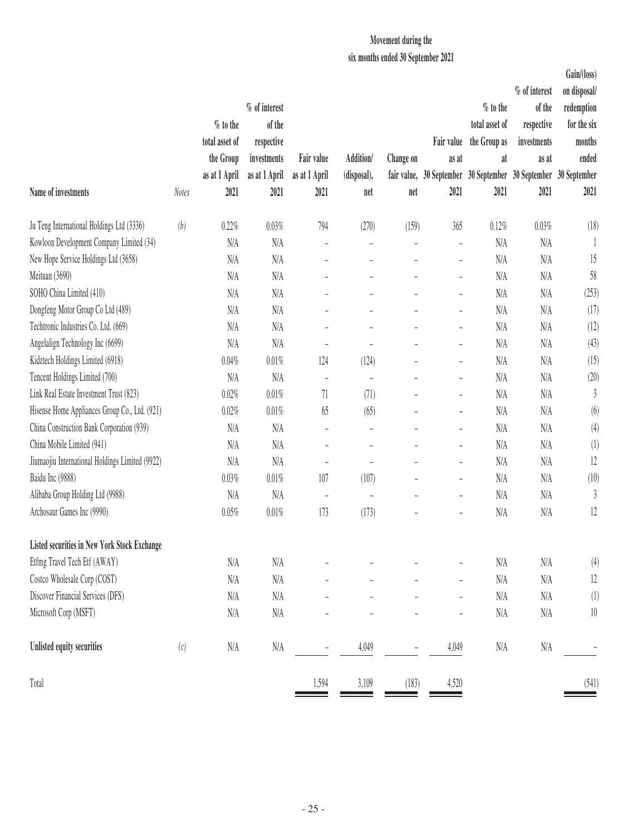### **Movement during the**

**six months ended 30 September 2021**

| Name of investments                                 | <b>Notes</b> | % to the<br>total asset of<br>the Group<br>as at 1 April<br>2021 | % of interest<br>of the<br>respective<br>investments<br>as at 1 April<br>2021 | Fair value<br>as at 1 April<br>2021 | Addition/<br>(disposal),<br>net | Change on<br>net         | Fair value<br>as at<br>2021 | $%$ to the<br>total asset of<br>the Group as<br>at<br>2021 | % of interest<br>of the<br>respective<br>investments<br>as at<br>fair value, 30 September 30 September 30 September 30 September<br>2021 | Gain/(loss)<br>on disposal/<br>redemption<br>for the six<br>months<br>ended<br>2021 |
|-----------------------------------------------------|--------------|------------------------------------------------------------------|-------------------------------------------------------------------------------|-------------------------------------|---------------------------------|--------------------------|-----------------------------|------------------------------------------------------------|------------------------------------------------------------------------------------------------------------------------------------------|-------------------------------------------------------------------------------------|
| Ju Teng International Holdings Ltd (3336)           | (b)          | 0.22%                                                            | 0.03%                                                                         | 794                                 | (270)                           | (159)                    | 365                         | 0.12%                                                      | 0.03%                                                                                                                                    | (18)                                                                                |
| Kowloon Development Company Limited (34)            |              | N/A                                                              | N/A                                                                           | $\overline{a}$                      | L,                              | $\frac{1}{2}$            | $\blacksquare$              | N/A                                                        | N/A                                                                                                                                      |                                                                                     |
| New Hope Service Holdings Ltd (3658)                |              | N/A                                                              | N/A                                                                           | $\overline{a}$                      |                                 |                          | $\bar{\phantom{a}}$         | N/A                                                        | N/A                                                                                                                                      | 15                                                                                  |
| Meituan (3690)                                      |              | N/A                                                              | N/A                                                                           | $\overline{\phantom{0}}$            | $\overline{\phantom{0}}$        | $\overline{\phantom{a}}$ | $\qquad \qquad -$           | N/A                                                        | N/A                                                                                                                                      | 58                                                                                  |
| SOHO China Limited (410)                            |              | N/A                                                              | N/A                                                                           |                                     |                                 | $\overline{a}$           | $\qquad \qquad -$           | N/A                                                        | N/A                                                                                                                                      | (253)                                                                               |
| Dongfeng Motor Group Co Ltd (489)                   |              | N/A                                                              | N/A                                                                           |                                     |                                 |                          | ÷,                          | N/A                                                        | N/A                                                                                                                                      | (17)                                                                                |
| Techtronic Industries Co. Ltd. (669)                |              | N/A                                                              | N/A                                                                           | $\overline{\phantom{0}}$            |                                 | ÷,                       | ÷,                          | N/A                                                        | N/A                                                                                                                                      | (12)                                                                                |
| Angelalign Technology Inc (6699)                    |              | N/A                                                              | N/A                                                                           | L,                                  |                                 | $\overline{a}$           | ÷,                          | N/A                                                        | N/A                                                                                                                                      | (43)                                                                                |
| Kidztech Holdings Limited (6918)                    |              | 0.04%                                                            | 0.01%                                                                         | 124                                 | (124)                           |                          | $\overline{\phantom{a}}$    | N/A                                                        | N/A                                                                                                                                      | (15)                                                                                |
| Tencent Holdings Limited (700)                      |              | N/A                                                              | N/A                                                                           | $\overline{\phantom{a}}$            | L,                              |                          | ÷,                          | N/A                                                        | N/A                                                                                                                                      | (20)                                                                                |
| Link Real Estate Investment Trust (823)             |              | 0.02%                                                            | 0.01%                                                                         | 71                                  | (71)                            | $\overline{a}$           | $\qquad \qquad -$           | N/A                                                        | N/A                                                                                                                                      | 3                                                                                   |
| Hisense Home Appliances Group Co., Ltd. (921)       |              | 0.02%                                                            | 0.01%                                                                         | 65                                  | (65)                            |                          | $\overline{\phantom{0}}$    | N/A                                                        | N/A                                                                                                                                      | (6)                                                                                 |
| China Construction Bank Corporation (939)           |              | N/A                                                              | N/A                                                                           | $\overline{\phantom{0}}$            | L,                              | $\overline{\phantom{0}}$ | $\overline{\phantom{0}}$    | N/A                                                        | N/A                                                                                                                                      | (4)                                                                                 |
| China Mobile Limited (941)                          |              | N/A                                                              | N/A                                                                           | $\overline{\phantom{0}}$            | L,                              |                          | $\overline{\phantom{0}}$    | N/A                                                        | N/A                                                                                                                                      | (1)                                                                                 |
| Jiumaojiu International Holdings Limited (9922)     |              | N/A                                                              | N/A                                                                           | $\equiv$                            |                                 |                          | $\overline{a}$              | N/A                                                        | N/A                                                                                                                                      | 12                                                                                  |
| Baidu Inc (9888)                                    |              | 0.03%                                                            | 0.01%                                                                         | 107                                 | (107)                           | $\overline{\phantom{0}}$ | $\overline{\phantom{0}}$    | N/A                                                        | N/A                                                                                                                                      | (10)                                                                                |
| Alibaba Group Holding Ltd (9988)                    |              | N/A                                                              | N/A                                                                           | $\overline{\phantom{a}}$            | $\overline{a}$                  |                          | $\overline{a}$              | N/A                                                        | N/A                                                                                                                                      | 3                                                                                   |
| Archosaur Games Inc (9990)                          |              | 0.05%                                                            | 0.01%                                                                         | 173                                 | (173)                           |                          | $\overline{\phantom{0}}$    | N/A                                                        | N/A                                                                                                                                      | 12                                                                                  |
| <b>Listed securities in New York Stock Exchange</b> |              |                                                                  |                                                                               |                                     |                                 |                          |                             |                                                            |                                                                                                                                          |                                                                                     |
| Etfmg Travel Tech Etf (AWAY)                        |              | $\rm N/A$                                                        | N/A                                                                           |                                     |                                 |                          |                             | N/A                                                        | N/A                                                                                                                                      | (4)                                                                                 |
| Costco Wholesale Corp (COST)                        |              | N/A                                                              | N/A                                                                           | $\overline{\phantom{0}}$            |                                 |                          | $\overline{\phantom{0}}$    | $\rm N/A$                                                  | $\rm N/A$                                                                                                                                | 12                                                                                  |
| Discover Financial Services (DFS)                   |              | N/A                                                              | N/A                                                                           |                                     |                                 |                          |                             | N/A                                                        | N/A                                                                                                                                      | (1)                                                                                 |
| Microsoft Corp (MSFT)                               |              | $\rm N/A$                                                        | N/A                                                                           |                                     |                                 |                          |                             | $\rm N/A$                                                  | $\rm N/A$                                                                                                                                | $10\,$                                                                              |
| Unlisted equity securities                          | (c)          | $\rm N/A$                                                        | N/A                                                                           |                                     | 4,049                           |                          | 4,049                       | $\rm N/A$                                                  | N/A                                                                                                                                      |                                                                                     |
| Total                                               |              |                                                                  |                                                                               | 1,594                               | 3,109                           | (183)                    | 4,520                       |                                                            |                                                                                                                                          | (541)                                                                               |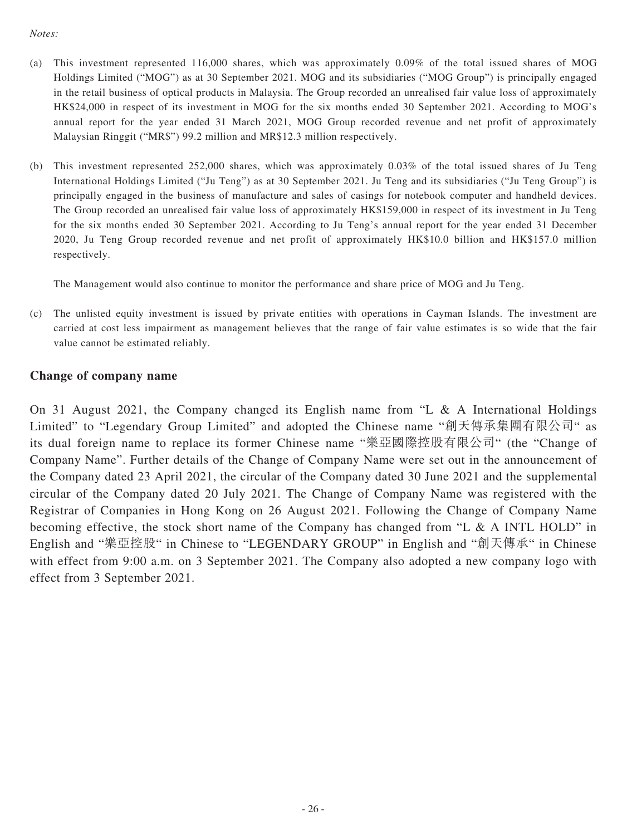#### *Notes:*

- (a) This investment represented 116,000 shares, which was approximately 0.09% of the total issued shares of MOG Holdings Limited ("MOG") as at 30 September 2021. MOG and its subsidiaries ("MOG Group") is principally engaged in the retail business of optical products in Malaysia. The Group recorded an unrealised fair value loss of approximately HK\$24,000 in respect of its investment in MOG for the six months ended 30 September 2021. According to MOG's annual report for the year ended 31 March 2021, MOG Group recorded revenue and net profit of approximately Malaysian Ringgit ("MR\$") 99.2 million and MR\$12.3 million respectively.
- (b) This investment represented 252,000 shares, which was approximately 0.03% of the total issued shares of Ju Teng International Holdings Limited ("Ju Teng") as at 30 September 2021. Ju Teng and its subsidiaries ("Ju Teng Group") is principally engaged in the business of manufacture and sales of casings for notebook computer and handheld devices. The Group recorded an unrealised fair value loss of approximately HK\$159,000 in respect of its investment in Ju Teng for the six months ended 30 September 2021. According to Ju Teng's annual report for the year ended 31 December 2020, Ju Teng Group recorded revenue and net profit of approximately HK\$10.0 billion and HK\$157.0 million respectively.

The Management would also continue to monitor the performance and share price of MOG and Ju Teng.

(c) The unlisted equity investment is issued by private entities with operations in Cayman Islands. The investment are carried at cost less impairment as management believes that the range of fair value estimates is so wide that the fair value cannot be estimated reliably.

### **Change of company name**

On 31 August 2021, the Company changed its English name from "L & A International Holdings Limited" to "Legendary Group Limited" and adopted the Chinese name "創天傳承集團有限公司" as its dual foreign name to replace its former Chinese name "樂亞國際控股有限公司" (the "Change of Company Name". Further details of the Change of Company Name were set out in the announcement of the Company dated 23 April 2021, the circular of the Company dated 30 June 2021 and the supplemental circular of the Company dated 20 July 2021. The Change of Company Name was registered with the Registrar of Companies in Hong Kong on 26 August 2021. Following the Change of Company Name becoming effective, the stock short name of the Company has changed from "L & A INTL HOLD" in English and "樂亞控股" in Chinese to "LEGENDARY GROUP" in English and "創天傳承" in Chinese with effect from 9:00 a.m. on 3 September 2021. The Company also adopted a new company logo with effect from 3 September 2021.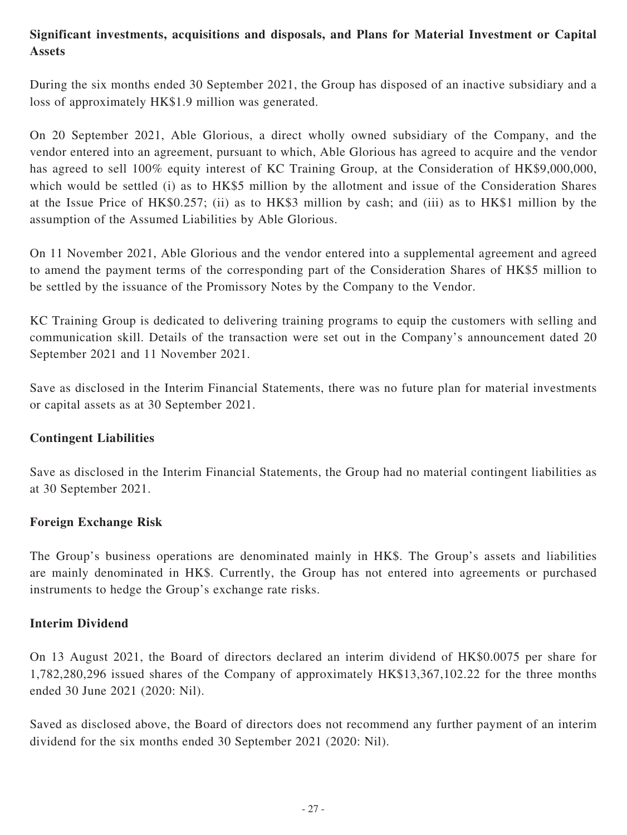### **Significant investments, acquisitions and disposals, and Plans for Material Investment or Capital Assets**

During the six months ended 30 September 2021, the Group has disposed of an inactive subsidiary and a loss of approximately HK\$1.9 million was generated.

On 20 September 2021, Able Glorious, a direct wholly owned subsidiary of the Company, and the vendor entered into an agreement, pursuant to which, Able Glorious has agreed to acquire and the vendor has agreed to sell 100% equity interest of KC Training Group, at the Consideration of HK\$9,000,000, which would be settled (i) as to HK\$5 million by the allotment and issue of the Consideration Shares at the Issue Price of HK\$0.257; (ii) as to HK\$3 million by cash; and (iii) as to HK\$1 million by the assumption of the Assumed Liabilities by Able Glorious.

On 11 November 2021, Able Glorious and the vendor entered into a supplemental agreement and agreed to amend the payment terms of the corresponding part of the Consideration Shares of HK\$5 million to be settled by the issuance of the Promissory Notes by the Company to the Vendor.

KC Training Group is dedicated to delivering training programs to equip the customers with selling and communication skill. Details of the transaction were set out in the Company's announcement dated 20 September 2021 and 11 November 2021.

Save as disclosed in the Interim Financial Statements, there was no future plan for material investments or capital assets as at 30 September 2021.

### **Contingent Liabilities**

Save as disclosed in the Interim Financial Statements, the Group had no material contingent liabilities as at 30 September 2021.

### **Foreign Exchange Risk**

The Group's business operations are denominated mainly in HK\$. The Group's assets and liabilities are mainly denominated in HK\$. Currently, the Group has not entered into agreements or purchased instruments to hedge the Group's exchange rate risks.

### **Interim Dividend**

On 13 August 2021, the Board of directors declared an interim dividend of HK\$0.0075 per share for 1,782,280,296 issued shares of the Company of approximately HK\$13,367,102.22 for the three months ended 30 June 2021 (2020: Nil).

Saved as disclosed above, the Board of directors does not recommend any further payment of an interim dividend for the six months ended 30 September 2021 (2020: Nil).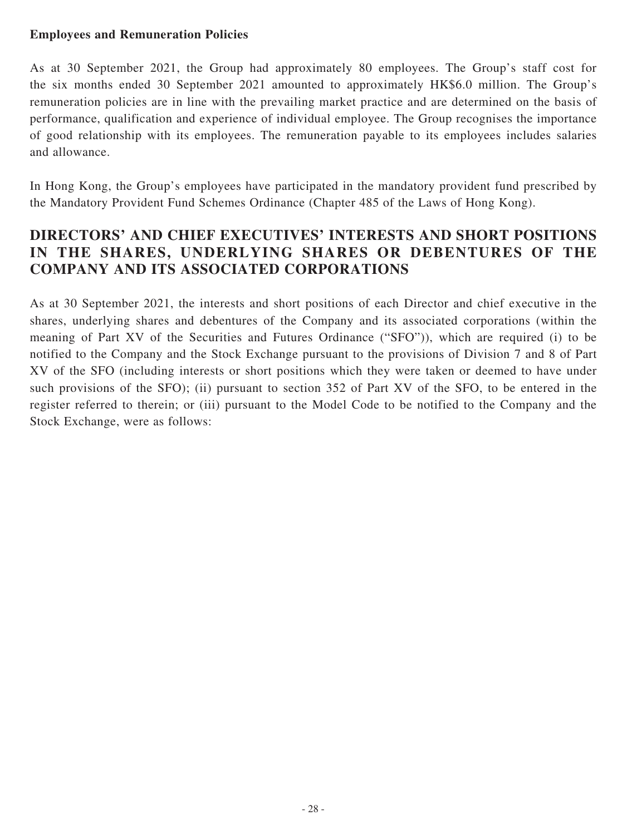### **Employees and Remuneration Policies**

As at 30 September 2021, the Group had approximately 80 employees. The Group's staff cost for the six months ended 30 September 2021 amounted to approximately HK\$6.0 million. The Group's remuneration policies are in line with the prevailing market practice and are determined on the basis of performance, qualification and experience of individual employee. The Group recognises the importance of good relationship with its employees. The remuneration payable to its employees includes salaries and allowance.

In Hong Kong, the Group's employees have participated in the mandatory provident fund prescribed by the Mandatory Provident Fund Schemes Ordinance (Chapter 485 of the Laws of Hong Kong).

### **DIRECTORS' AND CHIEF EXECUTIVES' INTERESTS AND SHORT POSITIONS IN THE SHARES, UNDERLYING SHARES OR DEBENTURES OF THE COMPANY AND ITS ASSOCIATED CORPORATIONS**

As at 30 September 2021, the interests and short positions of each Director and chief executive in the shares, underlying shares and debentures of the Company and its associated corporations (within the meaning of Part XV of the Securities and Futures Ordinance ("SFO")), which are required (i) to be notified to the Company and the Stock Exchange pursuant to the provisions of Division 7 and 8 of Part XV of the SFO (including interests or short positions which they were taken or deemed to have under such provisions of the SFO); (ii) pursuant to section 352 of Part XV of the SFO, to be entered in the register referred to therein; or (iii) pursuant to the Model Code to be notified to the Company and the Stock Exchange, were as follows: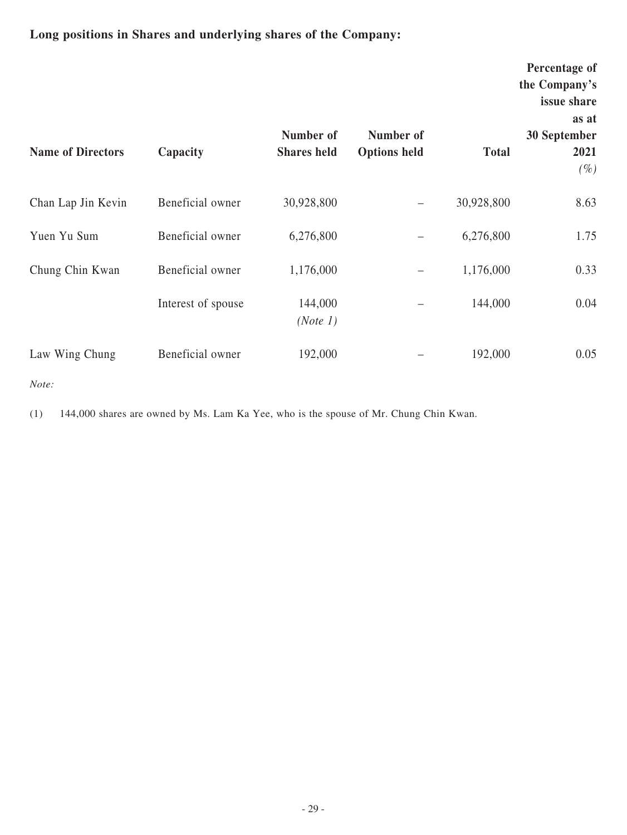## **Long positions in Shares and underlying shares of the Company:**

| <b>Name of Directors</b> | Capacity           | Number of<br><b>Shares</b> held | Number of<br><b>Options held</b> | <b>Total</b> | Percentage of<br>the Company's<br>issue share<br>as at<br>30 September<br>2021<br>$(\%)$ |
|--------------------------|--------------------|---------------------------------|----------------------------------|--------------|------------------------------------------------------------------------------------------|
| Chan Lap Jin Kevin       | Beneficial owner   | 30,928,800                      |                                  | 30,928,800   | 8.63                                                                                     |
| Yuen Yu Sum              | Beneficial owner   | 6,276,800                       |                                  | 6,276,800    | 1.75                                                                                     |
| Chung Chin Kwan          | Beneficial owner   | 1,176,000                       |                                  | 1,176,000    | 0.33                                                                                     |
|                          | Interest of spouse | 144,000<br>(Note 1)             |                                  | 144,000      | 0.04                                                                                     |
| Law Wing Chung           | Beneficial owner   | 192,000                         |                                  | 192,000      | 0.05                                                                                     |

*Note:*

(1) 144,000 shares are owned by Ms. Lam Ka Yee, who is the spouse of Mr. Chung Chin Kwan.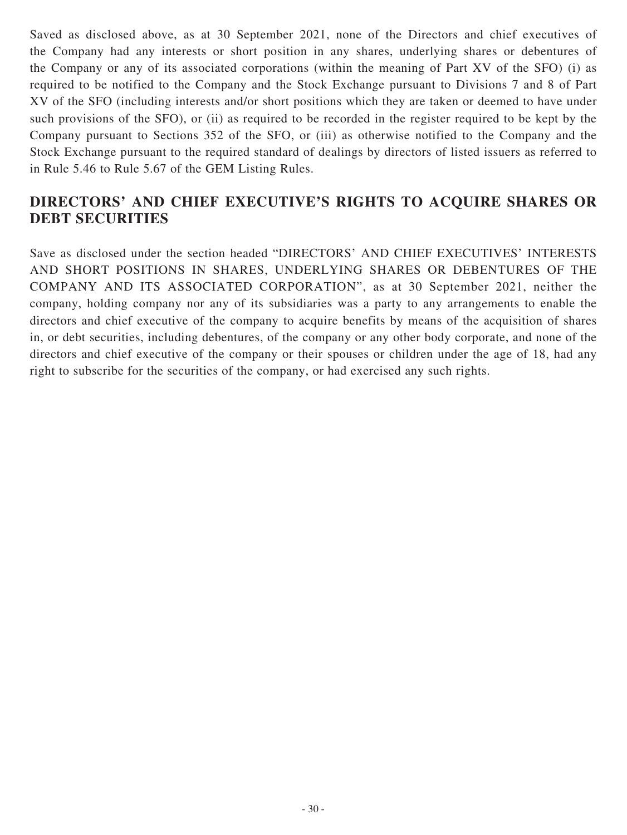Saved as disclosed above, as at 30 September 2021, none of the Directors and chief executives of the Company had any interests or short position in any shares, underlying shares or debentures of the Company or any of its associated corporations (within the meaning of Part XV of the SFO) (i) as required to be notified to the Company and the Stock Exchange pursuant to Divisions 7 and 8 of Part XV of the SFO (including interests and/or short positions which they are taken or deemed to have under such provisions of the SFO), or (ii) as required to be recorded in the register required to be kept by the Company pursuant to Sections 352 of the SFO, or (iii) as otherwise notified to the Company and the Stock Exchange pursuant to the required standard of dealings by directors of listed issuers as referred to in Rule 5.46 to Rule 5.67 of the GEM Listing Rules.

## **DIRECTORS' AND CHIEF EXECUTIVE'S RIGHTS TO ACQUIRE SHARES OR DEBT SECURITIES**

Save as disclosed under the section headed "DIRECTORS' AND CHIEF EXECUTIVES' INTERESTS AND SHORT POSITIONS IN SHARES, UNDERLYING SHARES OR DEBENTURES OF THE COMPANY AND ITS ASSOCIATED CORPORATION", as at 30 September 2021, neither the company, holding company nor any of its subsidiaries was a party to any arrangements to enable the directors and chief executive of the company to acquire benefits by means of the acquisition of shares in, or debt securities, including debentures, of the company or any other body corporate, and none of the directors and chief executive of the company or their spouses or children under the age of 18, had any right to subscribe for the securities of the company, or had exercised any such rights.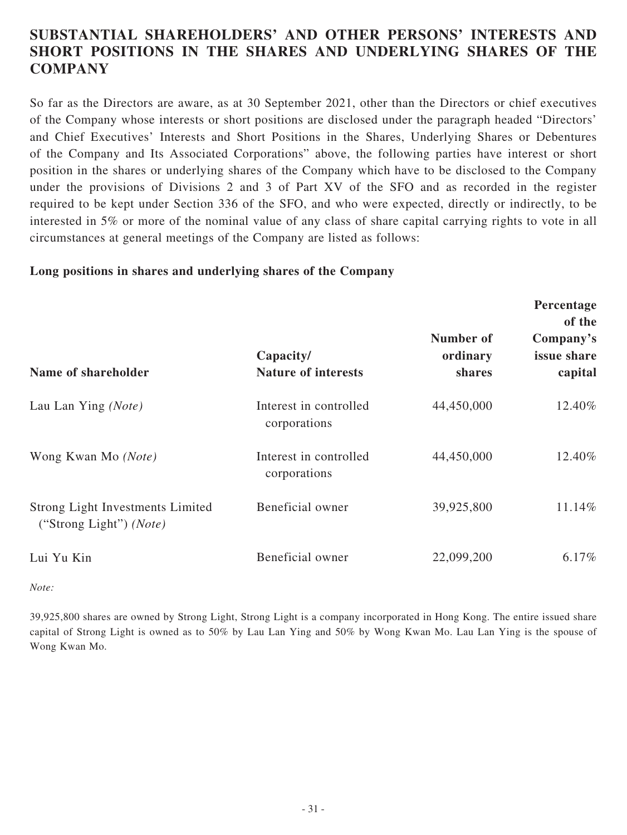### **SUBSTANTIAL SHAREHOLDERS' AND OTHER PERSONS' INTERESTS AND SHORT POSITIONS IN THE SHARES AND UNDERLYING SHARES OF THE COMPANY**

So far as the Directors are aware, as at 30 September 2021, other than the Directors or chief executives of the Company whose interests or short positions are disclosed under the paragraph headed "Directors' and Chief Executives' Interests and Short Positions in the Shares, Underlying Shares or Debentures of the Company and Its Associated Corporations" above, the following parties have interest or short position in the shares or underlying shares of the Company which have to be disclosed to the Company under the provisions of Divisions 2 and 3 of Part XV of the SFO and as recorded in the register required to be kept under Section 336 of the SFO, and who were expected, directly or indirectly, to be interested in 5% or more of the nominal value of any class of share capital carrying rights to vote in all circumstances at general meetings of the Company are listed as follows:

### **Long positions in shares and underlying shares of the Company**

| Name of shareholder                                                         | Capacity/<br><b>Nature of interests</b> | Number of<br>ordinary<br>shares | Percentage<br>of the<br>Company's<br>issue share<br>capital |
|-----------------------------------------------------------------------------|-----------------------------------------|---------------------------------|-------------------------------------------------------------|
| Lau Lan Ying (Note)                                                         | Interest in controlled<br>corporations  | 44,450,000                      | 12.40%                                                      |
| Wong Kwan Mo (Note)                                                         | Interest in controlled<br>corporations  | 44,450,000                      | 12.40%                                                      |
| <b>Strong Light Investments Limited</b><br>("Strong Light") ( <i>Note</i> ) | Beneficial owner                        | 39,925,800                      | 11.14%                                                      |
| Lui Yu Kin                                                                  | Beneficial owner                        | 22,099,200                      | $6.17\%$                                                    |

*Note:*

39,925,800 shares are owned by Strong Light, Strong Light is a company incorporated in Hong Kong. The entire issued share capital of Strong Light is owned as to 50% by Lau Lan Ying and 50% by Wong Kwan Mo. Lau Lan Ying is the spouse of Wong Kwan Mo.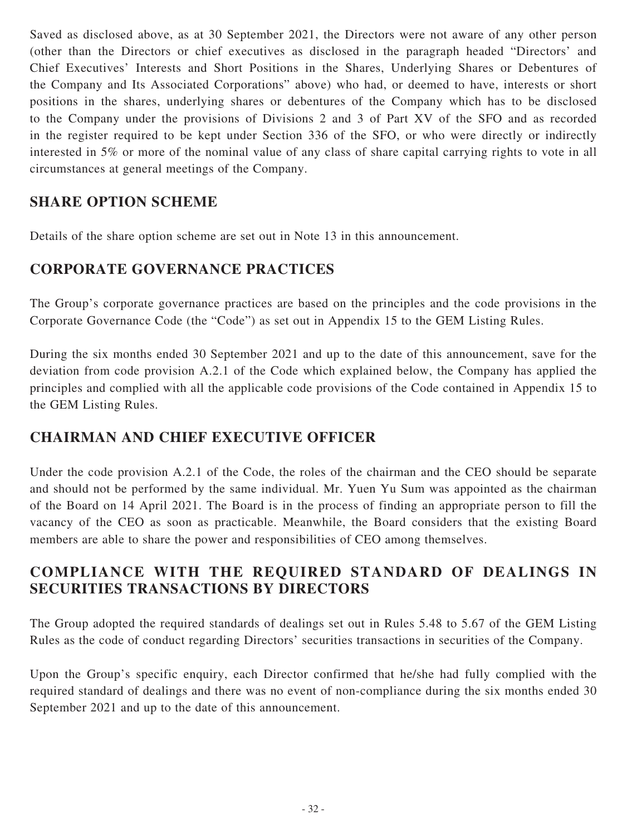Saved as disclosed above, as at 30 September 2021, the Directors were not aware of any other person (other than the Directors or chief executives as disclosed in the paragraph headed "Directors' and Chief Executives' Interests and Short Positions in the Shares, Underlying Shares or Debentures of the Company and Its Associated Corporations" above) who had, or deemed to have, interests or short positions in the shares, underlying shares or debentures of the Company which has to be disclosed to the Company under the provisions of Divisions 2 and 3 of Part XV of the SFO and as recorded in the register required to be kept under Section 336 of the SFO, or who were directly or indirectly interested in 5% or more of the nominal value of any class of share capital carrying rights to vote in all circumstances at general meetings of the Company.

### **SHARE OPTION SCHEME**

Details of the share option scheme are set out in Note 13 in this announcement.

### **CORPORATE GOVERNANCE PRACTICES**

The Group's corporate governance practices are based on the principles and the code provisions in the Corporate Governance Code (the "Code") as set out in Appendix 15 to the GEM Listing Rules.

During the six months ended 30 September 2021 and up to the date of this announcement, save for the deviation from code provision A.2.1 of the Code which explained below, the Company has applied the principles and complied with all the applicable code provisions of the Code contained in Appendix 15 to the GEM Listing Rules.

## **CHAIRMAN AND CHIEF EXECUTIVE OFFICER**

Under the code provision A.2.1 of the Code, the roles of the chairman and the CEO should be separate and should not be performed by the same individual. Mr. Yuen Yu Sum was appointed as the chairman of the Board on 14 April 2021. The Board is in the process of finding an appropriate person to fill the vacancy of the CEO as soon as practicable. Meanwhile, the Board considers that the existing Board members are able to share the power and responsibilities of CEO among themselves.

### **COMPLIANCE WITH THE REQUIRED STANDARD OF DEALINGS IN SECURITIES TRANSACTIONS BY DIRECTORS**

The Group adopted the required standards of dealings set out in Rules 5.48 to 5.67 of the GEM Listing Rules as the code of conduct regarding Directors' securities transactions in securities of the Company.

Upon the Group's specific enquiry, each Director confirmed that he/she had fully complied with the required standard of dealings and there was no event of non-compliance during the six months ended 30 September 2021 and up to the date of this announcement.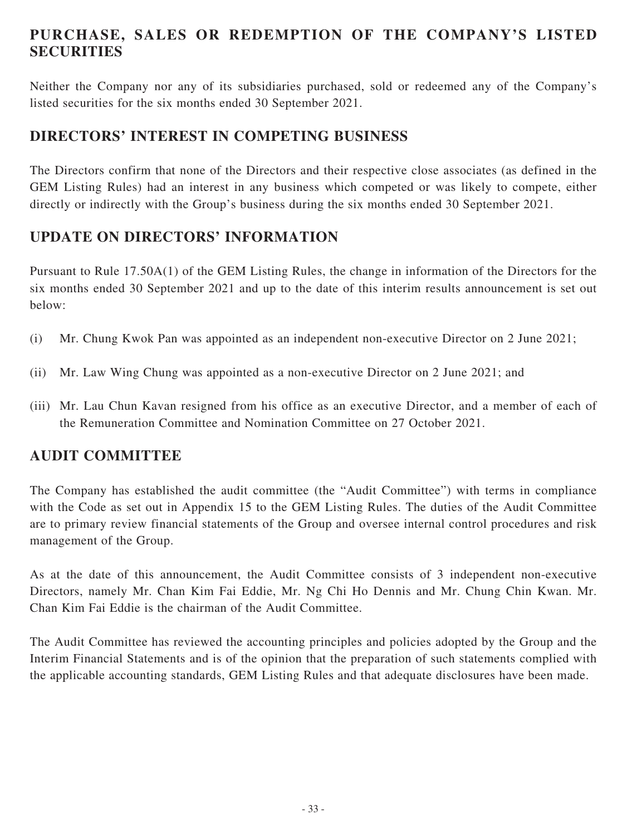## **PURCHASE, SALES OR REDEMPTION OF THE COMPANY'S LISTED SECURITIES**

Neither the Company nor any of its subsidiaries purchased, sold or redeemed any of the Company's listed securities for the six months ended 30 September 2021.

### **DIRECTORS' INTEREST IN COMPETING BUSINESS**

The Directors confirm that none of the Directors and their respective close associates (as defined in the GEM Listing Rules) had an interest in any business which competed or was likely to compete, either directly or indirectly with the Group's business during the six months ended 30 September 2021.

## **UPDATE ON DIRECTORS' INFORMATION**

Pursuant to Rule 17.50A(1) of the GEM Listing Rules, the change in information of the Directors for the six months ended 30 September 2021 and up to the date of this interim results announcement is set out below:

- (i) Mr. Chung Kwok Pan was appointed as an independent non-executive Director on 2 June 2021;
- (ii) Mr. Law Wing Chung was appointed as a non-executive Director on 2 June 2021; and
- (iii) Mr. Lau Chun Kavan resigned from his office as an executive Director, and a member of each of the Remuneration Committee and Nomination Committee on 27 October 2021.

### **AUDIT COMMITTEE**

The Company has established the audit committee (the "Audit Committee") with terms in compliance with the Code as set out in Appendix 15 to the GEM Listing Rules. The duties of the Audit Committee are to primary review financial statements of the Group and oversee internal control procedures and risk management of the Group.

As at the date of this announcement, the Audit Committee consists of 3 independent non-executive Directors, namely Mr. Chan Kim Fai Eddie, Mr. Ng Chi Ho Dennis and Mr. Chung Chin Kwan. Mr. Chan Kim Fai Eddie is the chairman of the Audit Committee.

The Audit Committee has reviewed the accounting principles and policies adopted by the Group and the Interim Financial Statements and is of the opinion that the preparation of such statements complied with the applicable accounting standards, GEM Listing Rules and that adequate disclosures have been made.